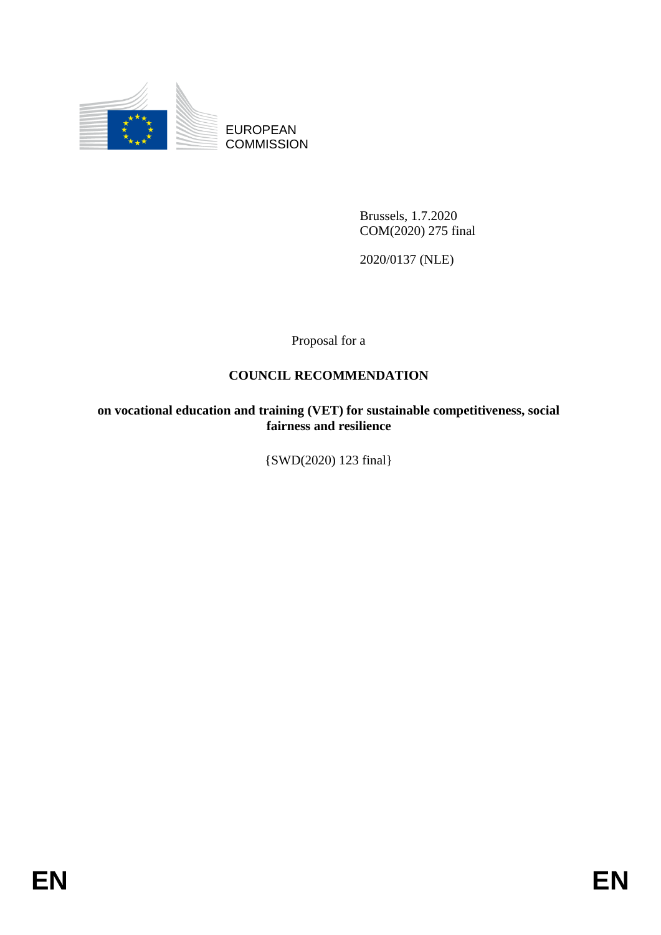

EUROPEAN **COMMISSION** 

> Brussels, 1.7.2020 COM(2020) 275 final

2020/0137 (NLE)

Proposal for a

# **COUNCIL RECOMMENDATION**

**on vocational education and training (VET) for sustainable competitiveness, social fairness and resilience**

{SWD(2020) 123 final}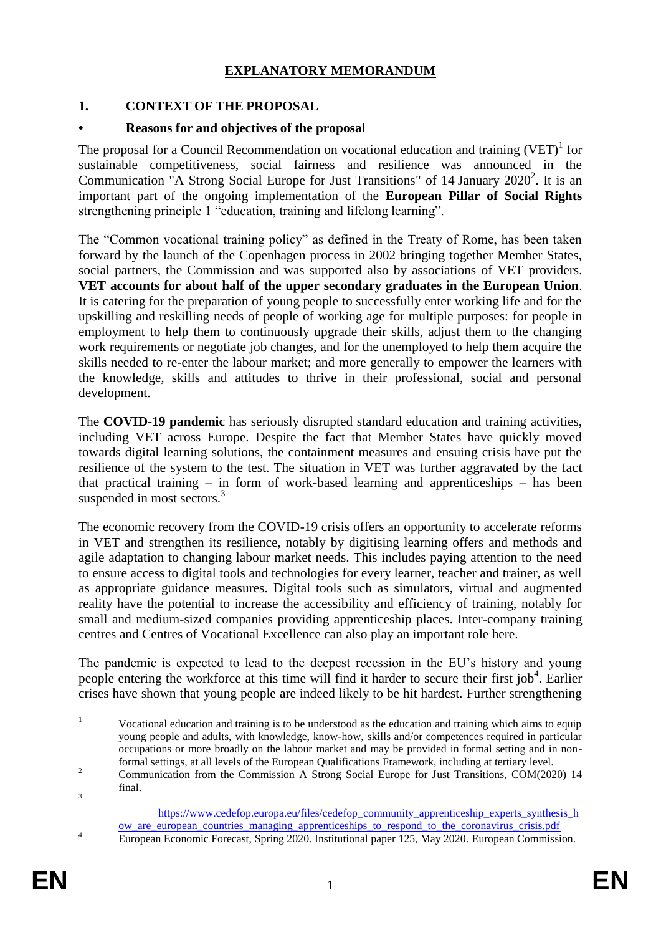# **EXPLANATORY MEMORANDUM**

# **1. CONTEXT OF THE PROPOSAL**

### **• Reasons for and objectives of the proposal**

The proposal for a Council Recommendation on vocational education and training  $(VET)^1$  for sustainable competitiveness, social fairness and resilience was announced in the Communication ["A Strong Social Europe for Just Transitions"](https://ec.europa.eu/social/BlobServlet?docId=22211&langId=en) of 14 January  $2020^2$ . It is an important part of the ongoing implementation of the **European Pillar of Social Rights** strengthening principle 1 "education, training and lifelong learning".

The "Common vocational training policy" as defined in the Treaty of Rome, has been taken forward by the launch of the Copenhagen process in 2002 bringing together Member States, social partners, the Commission and was supported also by associations of VET providers. **VET accounts for about half of the upper secondary graduates in the European Union**. It is catering for the preparation of young people to successfully enter working life and for the upskilling and reskilling needs of people of working age for multiple purposes: for people in employment to help them to continuously upgrade their skills, adjust them to the changing work requirements or negotiate job changes, and for the unemployed to help them acquire the skills needed to re-enter the labour market; and more generally to empower the learners with the knowledge, skills and attitudes to thrive in their professional, social and personal development.

The **COVID-19 pandemic** has seriously disrupted standard education and training activities, including VET across Europe. Despite the fact that Member States have quickly moved towards digital learning solutions, the containment measures and ensuing crisis have put the resilience of the system to the test. The situation in VET was further aggravated by the fact that practical training – in form of work-based learning and apprenticeships – has been suspended in most sectors.<sup>3</sup>

The economic recovery from the COVID-19 crisis offers an opportunity to accelerate reforms in VET and strengthen its resilience, notably by digitising learning offers and methods and agile adaptation to changing labour market needs. This includes paying attention to the need to ensure access to digital tools and technologies for every learner, teacher and trainer, as well as appropriate guidance measures. Digital tools such as simulators, virtual and augmented reality have the potential to increase the accessibility and efficiency of training, notably for small and medium-sized companies providing apprenticeship places. Inter-company training centres and Centres of Vocational Excellence can also play an important role here.

The pandemic is expected to lead to the deepest recession in the EU's history and young people entering the workforce at this time will find it harder to secure their first job<sup>4</sup>. Earlier crises have shown that young people are indeed likely to be hit hardest. Further strengthening

 $\bar{1}$ <sup>1</sup> Vocational education and training is to be understood as the education and training which aims to equip young people and adults, with knowledge, know-how, skills and/or competences required in particular occupations or more broadly on the labour market and may be provided in formal setting and in nonformal settings, at all levels of the European Qualifications Framework, including at tertiary level.

<sup>&</sup>lt;sup>2</sup> Communication from the Commission A Strong Social Europe for Just Transitions, COM(2020) 14 final. 3

[https://www.cedefop.europa.eu/files/cedefop\\_community\\_apprenticeship\\_experts\\_synthesis\\_h](https://www.cedefop.europa.eu/files/cedefop_community_apprenticeship_experts_synthesis_how_are_european_countries_managing_apprenticeships_to_respond_to_the_coronavirus_crisis.pdf) ow are european countries managing apprenticeships to respond to the coronavirus crisis.pdf <sup>4</sup> European Economic Forecast, Spring 2020. Institutional paper 125, May 2020. European Commission.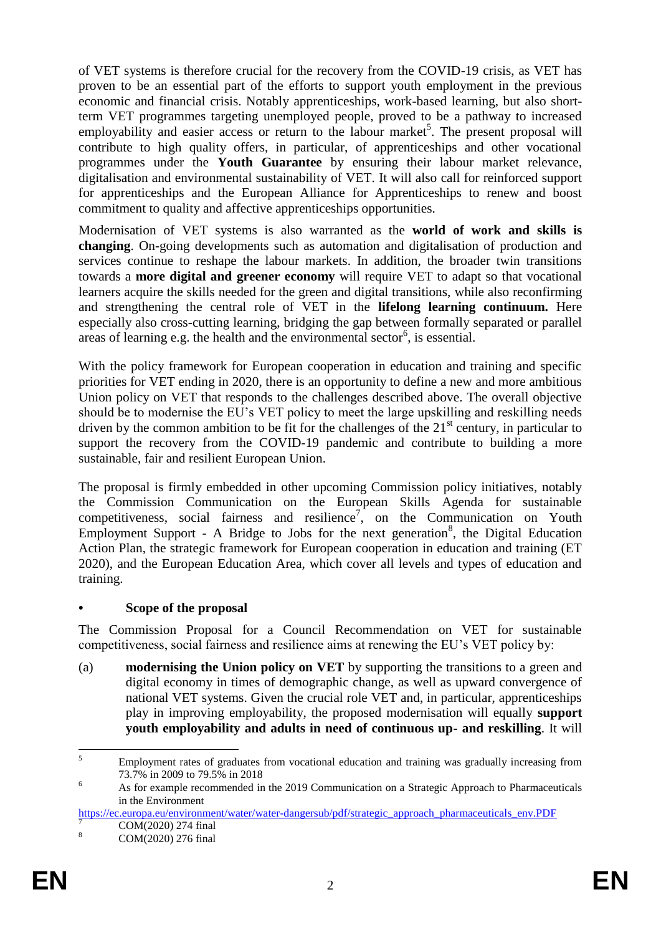of VET systems is therefore crucial for the recovery from the COVID-19 crisis, as VET has proven to be an essential part of the efforts to support youth employment in the previous economic and financial crisis. Notably apprenticeships, work-based learning, but also shortterm VET programmes targeting unemployed people, proved to be a pathway to increased employability and easier access or return to the labour market<sup>5</sup>. The present proposal will contribute to high quality offers, in particular, of apprenticeships and other vocational programmes under the **Youth Guarantee** by ensuring their labour market relevance, digitalisation and environmental sustainability of VET. It will also call for reinforced support for apprenticeships and the European Alliance for Apprenticeships to renew and boost commitment to quality and affective apprenticeships opportunities.

Modernisation of VET systems is also warranted as the **world of work and skills is changing**. On-going developments such as automation and digitalisation of production and services continue to reshape the labour markets. In addition, the broader twin transitions towards a **more digital and greener economy** will require VET to adapt so that vocational learners acquire the skills needed for the green and digital transitions, while also reconfirming and strengthening the central role of VET in the **lifelong learning continuum.** Here especially also cross-cutting learning, bridging the gap between formally separated or parallel areas of learning e.g. the health and the environmental sector<sup>6</sup>, is essential.

With the policy framework for European cooperation in education and training and specific priorities for VET ending in 2020, there is an opportunity to define a new and more ambitious Union policy on VET that responds to the challenges described above. The overall objective should be to modernise the EU's VET policy to meet the large upskilling and reskilling needs driven by the common ambition to be fit for the challenges of the  $21<sup>st</sup>$  century, in particular to support the recovery from the COVID-19 pandemic and contribute to building a more sustainable, fair and resilient European Union.

The proposal is firmly embedded in other upcoming Commission policy initiatives, notably the Commission Communication on the European Skills Agenda for sustainable competitiveness, social fairness and resilience<sup>7</sup>, on the Communication on Youth Employment Support - A Bridge to Jobs for the next generation<sup>8</sup>, the Digital Education Action Plan, the strategic framework for European cooperation in education and training (ET 2020), and the European Education Area, which cover all levels and types of education and training.

# **• Scope of the proposal**

The Commission Proposal for a Council Recommendation on VET for sustainable competitiveness, social fairness and resilience aims at renewing the EU's VET policy by:

(a) **modernising the Union policy on VET** by supporting the transitions to a green and digital economy in times of demographic change, as well as upward convergence of national VET systems. Given the crucial role VET and, in particular, apprenticeships play in improving employability, the proposed modernisation will equally **support youth employability and adults in need of continuous up- and reskilling**. It will

 $\overline{5}$ <sup>5</sup> Employment rates of graduates from vocational education and training was gradually increasing from 73.7% in 2009 to 79.5% in 2018

<sup>&</sup>lt;sup>6</sup> As for example recommended in the 2019 Communication on a Strategic Approach to Pharmaceuticals in the Environment

[https://ec.europa.eu/environment/water/water-dangersub/pdf/strategic\\_approach\\_pharmaceuticals\\_env.PDF](https://ec.europa.eu/environment/water/water-dangersub/pdf/strategic_approach_pharmaceuticals_env.PDF)

 $\frac{7}{8}$  COM(2020) 274 final

COM(2020) 276 final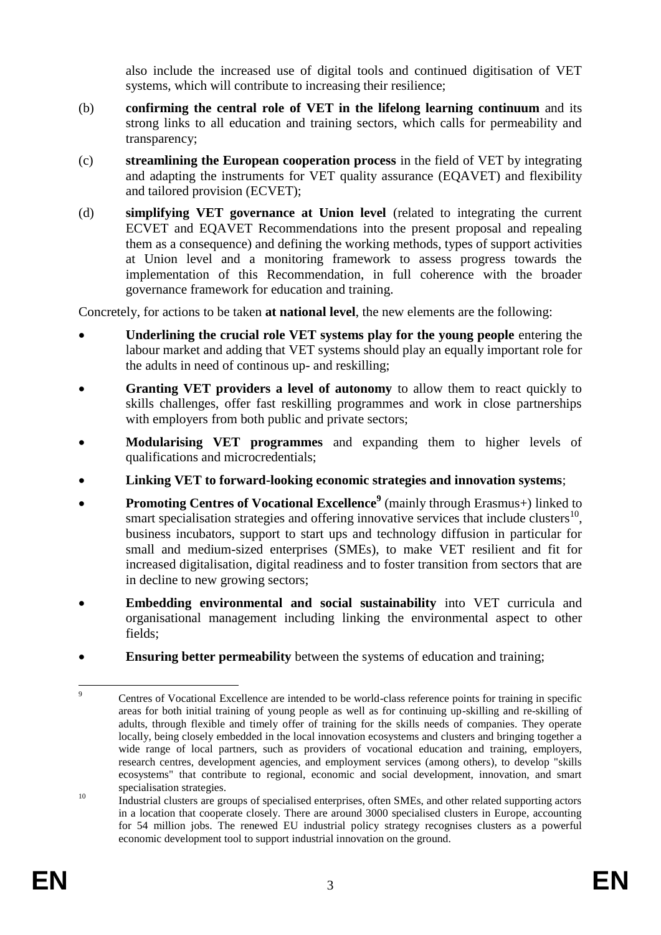also include the increased use of digital tools and continued digitisation of VET systems, which will contribute to increasing their resilience;

- (b) **confirming the central role of VET in the lifelong learning continuum** and its strong links to all education and training sectors, which calls for permeability and transparency;
- (c) **streamlining the European cooperation process** in the field of VET by integrating and adapting the instruments for VET quality assurance (EQAVET) and flexibility and tailored provision (ECVET);
- (d) **simplifying VET governance at Union level** (related to integrating the current ECVET and EQAVET Recommendations into the present proposal and repealing them as a consequence) and defining the working methods, types of support activities at Union level and a monitoring framework to assess progress towards the implementation of this Recommendation, in full coherence with the broader governance framework for education and training.

Concretely, for actions to be taken **at national level**, the new elements are the following:

- **Underlining the crucial role VET systems play for the young people** entering the labour market and adding that VET systems should play an equally important role for the adults in need of continous up- and reskilling;
- **Granting VET providers a level of autonomy** to allow them to react quickly to skills challenges, offer fast reskilling programmes and work in close partnerships with employers from both public and private sectors;
- **Modularising VET programmes** and expanding them to higher levels of qualifications and microcredentials;
- **Linking VET to forward-looking economic strategies and innovation systems**;
- **Promoting Centres of Vocational Excellence**<sup>9</sup> (mainly through Erasmus+) linked to smart specialisation strategies and offering innovative services that include clusters $^{10}$ , business incubators, support to start ups and technology diffusion in particular for small and medium-sized enterprises (SMEs), to make VET resilient and fit for increased digitalisation, digital readiness and to foster transition from sectors that are in decline to new growing sectors;
- **Embedding environmental and social sustainability** into VET curricula and organisational management including linking the environmental aspect to other fields;
- **Ensuring better permeability** between the systems of education and training;

<sup>1</sup> <sup>9</sup> Centres of Vocational Excellence are intended to be world-class reference points for training in specific areas for both initial training of young people as well as for continuing up-skilling and re-skilling of adults, through flexible and timely offer of training for the skills needs of companies. They operate locally, being closely embedded in the local innovation ecosystems and clusters and bringing together a wide range of local partners, such as providers of vocational education and training, employers, research centres, development agencies, and employment services (among others), to develop "skills ecosystems" that contribute to regional, economic and social development, innovation, and smart specialisation strategies.

<sup>&</sup>lt;sup>10</sup> Industrial clusters are groups of specialised enterprises, often SMEs, and other related supporting actors in a location that cooperate closely. There are around 3000 specialised clusters in Europe, accounting for 54 million jobs. The renewed EU industrial policy strategy recognises clusters as a powerful economic development tool to support industrial innovation on the ground.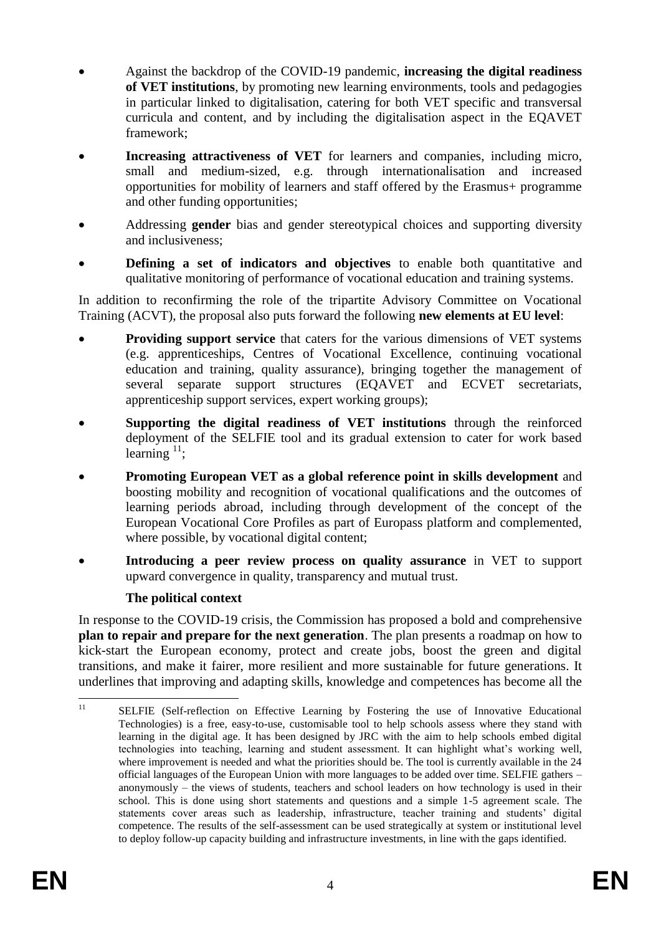- Against the backdrop of the COVID-19 pandemic, **increasing the digital readiness of VET institutions**, by promoting new learning environments, tools and pedagogies in particular linked to digitalisation, catering for both VET specific and transversal curricula and content, and by including the digitalisation aspect in the EQAVET framework;
- **Increasing attractiveness of VET** for learners and companies, including micro, small and medium-sized, e.g. through internationalisation and increased opportunities for mobility of learners and staff offered by the Erasmus+ programme and other funding opportunities;
- Addressing **gender** bias and gender stereotypical choices and supporting diversity and inclusiveness;
- **Defining a set of indicators and objectives** to enable both quantitative and qualitative monitoring of performance of vocational education and training systems.

In addition to reconfirming the role of the tripartite Advisory Committee on Vocational Training (ACVT), the proposal also puts forward the following **new elements at EU level**:

- **Providing support service** that caters for the various dimensions of VET systems (e.g. apprenticeships, Centres of Vocational Excellence, continuing vocational education and training, quality assurance), bringing together the management of several separate support structures (EQAVET and ECVET secretariats, apprenticeship support services, expert working groups);
- **Supporting the digital readiness of VET institutions** through the reinforced deployment of the SELFIE tool and its gradual extension to cater for work based learning  $^{11}$ ;
- **Promoting European VET as a global reference point in skills development** and boosting mobility and recognition of vocational qualifications and the outcomes of learning periods abroad, including through development of the concept of the European Vocational Core Profiles as part of Europass platform and complemented, where possible, by vocational digital content;
- **Introducing a peer review process on quality assurance** in VET to support upward convergence in quality, transparency and mutual trust.

# **The political context**

In response to the COVID-19 crisis, the Commission has proposed a bold and comprehensive **plan to repair and prepare for the next generation**. The plan presents a roadmap on how to kick-start the European economy, protect and create jobs, boost the green and digital transitions, and make it fairer, more resilient and more sustainable for future generations. It underlines that improving and adapting skills, knowledge and competences has become all the

 $11$ SELFIE (Self-reflection on Effective Learning by Fostering the use of Innovative Educational Technologies) is a free, easy-to-use, customisable tool to help schools assess where they stand with learning in the digital age. It has been designed by JRC with the aim to help schools embed digital technologies into teaching, learning and student assessment. It can highlight what's working well, where improvement is needed and what the priorities should be. The tool is currently available in the 24 official languages of the European Union with more languages to be added over time. SELFIE gathers – anonymously – the views of students, teachers and school leaders on how technology is used in their school. This is done using short statements and questions and a simple 1-5 agreement scale. The statements cover areas such as leadership, infrastructure, teacher training and students' digital competence. The results of the self-assessment can be used strategically at system or institutional level to deploy follow-up capacity building and infrastructure investments, in line with the gaps identified.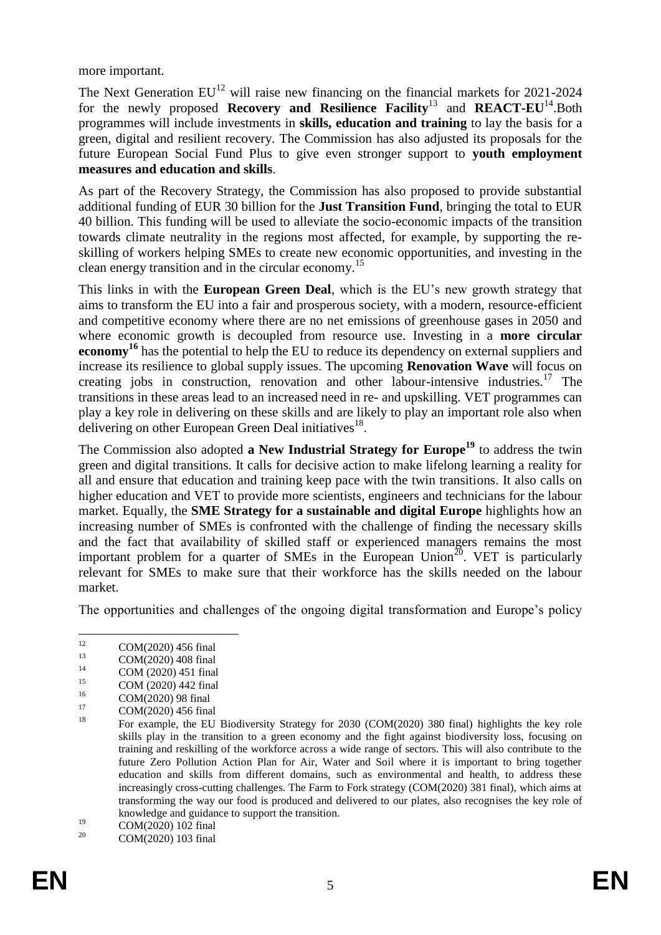more important.

The Next Generation  $EU^{12}$  will raise new financing on the financial markets for 2021-2024 for the newly proposed **Recovery and Resilience Facility**<sup>13</sup> and **REACT-EU**<sup>14</sup>.Both programmes will include investments in **skills, education and training** to lay the basis for a green, digital and resilient recovery. The Commission has also adjusted its proposals for the future European Social Fund Plus to give even stronger support to **youth employment measures and education and skills**.

As part of the Recovery Strategy, the Commission has also proposed to provide substantial additional funding of EUR 30 billion for the **Just Transition Fund**, bringing the total to EUR 40 billion. This funding will be used to alleviate the socio-economic impacts of the transition towards climate neutrality in the regions most affected, for example, by supporting the reskilling of workers helping SMEs to create new economic opportunities, and investing in the clean energy transition and in the circular economy. 15

This links in with the **European Green Deal**, which is the EU's new growth strategy that aims to transform the EU into a fair and prosperous society, with a modern, resource-efficient and competitive economy where there are no net emissions of greenhouse gases in 2050 and where economic growth is decoupled from resource use. Investing in a **more circular economy**<sup>16</sup> has the potential to help the EU to reduce its dependency on external suppliers and increase its resilience to global supply issues. The upcoming **Renovation Wave** will focus on creating jobs in construction, renovation and other labour-intensive industries.<sup>17</sup> The transitions in these areas lead to an increased need in re- and upskilling. VET programmes can play a key role in delivering on these skills and are likely to play an important role also when delivering on other European Green Deal initiatives<sup>18</sup>.

The Commission also adopted **a New Industrial Strategy for Europe<sup>19</sup>** to address the twin green and digital transitions. It calls for decisive action to make lifelong learning a reality for all and ensure that education and training keep pace with the twin transitions. It also calls on higher education and VET to provide more scientists, engineers and technicians for the labour market. Equally, the **SME Strategy for a sustainable and digital Europe** highlights how an increasing number of SMEs is confronted with the challenge of finding the necessary skills and the fact that availability of skilled staff or experienced managers remains the most important problem for a quarter of SMEs in the European Union<sup> $20$ </sup>. VET is particularly relevant for SMEs to make sure that their workforce has the skills needed on the labour market.

The opportunities and challenges of the ongoing digital transformation and Europe's policy

 $12<sup>12</sup>$  $12$  COM(2020) 456 final

 $13$  COM(2020) 408 final

 $^{14}$  COM (2020) 451 final<br> $^{15}$  COM (2020) 442 final

<sup>&</sup>lt;sup>15</sup> COM (2020) 442 final<br> $^{16}$  COM(2020) 09 final

 $^{16}$  COM(2020) 98 final<br> $^{17}$  COM(2020) 456 final

 $^{17}$  COM(2020) 456 final

<sup>18</sup> For example, the EU Biodiversity Strategy for 2030 (COM(2020) 380 final) highlights the key role skills play in the transition to a green economy and the fight against biodiversity loss, focusing on training and reskilling of the workforce across a wide range of sectors. This will also contribute to the future Zero Pollution Action Plan for Air, Water and Soil where it is important to bring together education and skills from different domains, such as environmental and health, to address these increasingly cross-cutting challenges. The Farm to Fork strategy (COM(2020) 381 final), which aims at transforming the way our food is produced and delivered to our plates, also recognises the key role of knowledge and guidance to support the transition.

 $^{19}$  COM(2020) 102 final<br>  $^{20}$  COM(2020) 102 f

<sup>20</sup> COM(2020) 103 final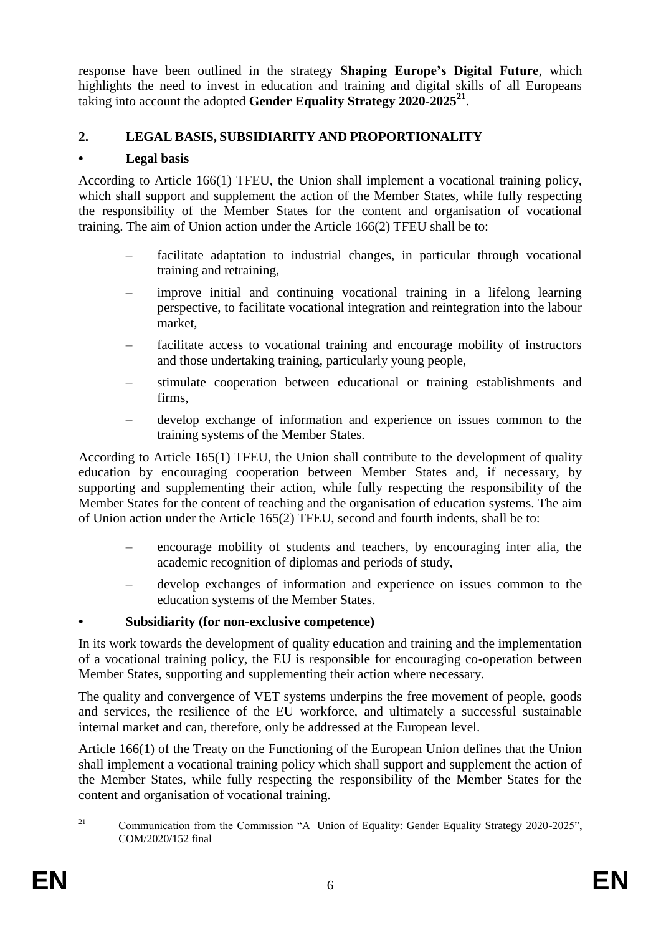response have been outlined in the strategy **Shaping Europe's Digital Future**, which highlights the need to invest in education and training and digital skills of all Europeans taking into account the adopted **Gender Equality Strategy 2020-2025<sup>21</sup>** .

# **2. LEGAL BASIS, SUBSIDIARITY AND PROPORTIONALITY**

### **• Legal basis**

According to Article 166(1) TFEU, the Union shall implement a vocational training policy, which shall support and supplement the action of the Member States, while fully respecting the responsibility of the Member States for the content and organisation of vocational training. The aim of Union action under the Article 166(2) TFEU shall be to:

- facilitate adaptation to industrial changes, in particular through vocational training and retraining,
- improve initial and continuing vocational training in a lifelong learning perspective, to facilitate vocational integration and reintegration into the labour market,
- facilitate access to vocational training and encourage mobility of instructors and those undertaking training, particularly young people,
- stimulate cooperation between educational or training establishments and firms,
- develop exchange of information and experience on issues common to the training systems of the Member States.

According to Article 165(1) TFEU, the Union shall contribute to the development of quality education by encouraging cooperation between Member States and, if necessary, by supporting and supplementing their action, while fully respecting the responsibility of the Member States for the content of teaching and the organisation of education systems. The aim of Union action under the Article 165(2) TFEU, second and fourth indents, shall be to:

- encourage mobility of students and teachers, by encouraging inter alia, the academic recognition of diplomas and periods of study,
- develop exchanges of information and experience on issues common to the education systems of the Member States.

# **• Subsidiarity (for non-exclusive competence)**

In its work towards the development of quality education and training and the implementation of a vocational training policy, the EU is responsible for encouraging co-operation between Member States, supporting and supplementing their action where necessary.

The quality and convergence of VET systems underpins the free movement of people, goods and services, the resilience of the EU workforce, and ultimately a successful sustainable internal market and can, therefore, only be addressed at the European level.

Article 166(1) of the Treaty on the Functioning of the European Union defines that the Union shall implement a vocational training policy which shall support and supplement the action of the Member States, while fully respecting the responsibility of the Member States for the content and organisation of vocational training.

 $21$ <sup>21</sup> Communication from the Commission "A Union of Equality: Gender Equality Strategy 2020-2025", COM/2020/152 final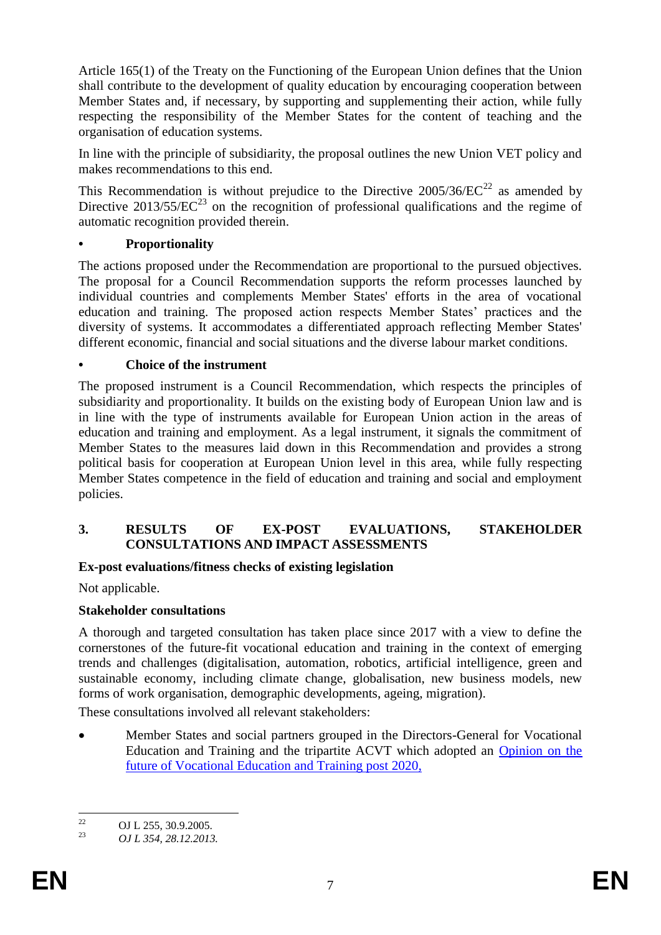Article 165(1) of the Treaty on the Functioning of the European Union defines that the Union shall contribute to the development of quality education by encouraging cooperation between Member States and, if necessary, by supporting and supplementing their action, while fully respecting the responsibility of the Member States for the content of teaching and the organisation of education systems.

In line with the principle of subsidiarity, the proposal outlines the new Union VET policy and makes recommendations to this end.

This Recommendation is without prejudice to the Directive  $2005/36/EC^{22}$  as amended by Directive 2013/55/EC<sup>23</sup> on the recognition of professional qualifications and the regime of automatic recognition provided therein.

#### **• Proportionality**

The actions proposed under the Recommendation are proportional to the pursued objectives. The proposal for a Council Recommendation supports the reform processes launched by individual countries and complements Member States' efforts in the area of vocational education and training. The proposed action respects Member States' practices and the diversity of systems. It accommodates a differentiated approach reflecting Member States' different economic, financial and social situations and the diverse labour market conditions.

#### **• Choice of the instrument**

The proposed instrument is a Council Recommendation, which respects the principles of subsidiarity and proportionality. It builds on the existing body of European Union law and is in line with the type of instruments available for European Union action in the areas of education and training and employment. As a legal instrument, it signals the commitment of Member States to the measures laid down in this Recommendation and provides a strong political basis for cooperation at European Union level in this area, while fully respecting Member States competence in the field of education and training and social and employment policies.

#### **3. RESULTS OF EX-POST EVALUATIONS, STAKEHOLDER CONSULTATIONS AND IMPACT ASSESSMENTS**

# **Ex-post evaluations/fitness checks of existing legislation**

Not applicable.

#### **Stakeholder consultations**

A thorough and targeted consultation has taken place since 2017 with a view to define the cornerstones of the future-fit vocational education and training in the context of emerging trends and challenges (digitalisation, automation, robotics, artificial intelligence, green and sustainable economy, including climate change, globalisation, new business models, new forms of work organisation, demographic developments, ageing, migration).

These consultations involved all relevant stakeholders:

 Member States and social partners grouped in the Directors-General for Vocational Education and Training and the tripartite ACVT which adopted an [Opinion on the](https://ec.europa.eu/social/BlobServlet?docId=20479&langId=en)  [future of Vocational Education and Training post 2020,](https://ec.europa.eu/social/BlobServlet?docId=20479&langId=en)

 $\overline{\mathcal{L}}$ <sup>22</sup> OJ L 255, 30.9.2005.

<sup>23</sup> *OJ L 354, 28.12.2013.*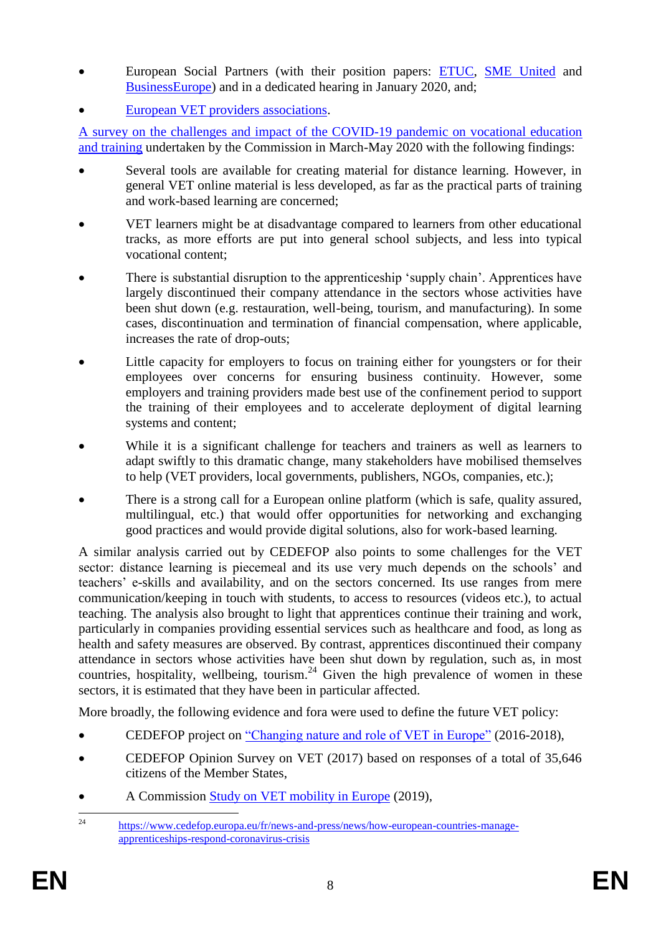- European Social Partners (with their position papers: [ETUC,](https://www.etuc.org/en/document/eu-priorities-education-and-training-post-2020-towards-european-right-training-all) [SME United](https://smeunited.eu/admin/storage/smeunited/181105-ueapme-position-on-future-of-vet-post-2020.pdf) and [BusinessEurope\)](https://www.businesseurope.eu/publications/future-eu-vocational-education-and-training-vet-policy) and in a dedicated hearing in January 2020, and;
- [European VET providers associations.](https://ec.europa.eu/social/BlobServlet?docId=20483&langId=en)

[A survey on the challenges and impact of the COVID-19 pandemic on vocational education](https://ec.europa.eu/social/vocational-skills-week/fight-against-covid-19_en)  [and training](https://ec.europa.eu/social/vocational-skills-week/fight-against-covid-19_en) undertaken by the Commission in March-May 2020 with the following findings:

- Several tools are available for creating material for distance learning. However, in general VET online material is less developed, as far as the practical parts of training and work-based learning are concerned;
- VET learners might be at disadvantage compared to learners from other educational tracks, as more efforts are put into general school subjects, and less into typical vocational content;
- There is substantial disruption to the apprenticeship 'supply chain'. Apprentices have largely discontinued their company attendance in the sectors whose activities have been shut down (e.g. restauration, well-being, tourism, and manufacturing). In some cases, discontinuation and termination of financial compensation, where applicable, increases the rate of drop-outs;
- Little capacity for employers to focus on training either for youngsters or for their employees over concerns for ensuring business continuity. However, some employers and training providers made best use of the confinement period to support the training of their employees and to accelerate deployment of digital learning systems and content;
- While it is a significant challenge for teachers and trainers as well as learners to adapt swiftly to this dramatic change, many stakeholders have mobilised themselves to help (VET providers, local governments, publishers, NGOs, companies, etc.);
- There is a strong call for a European online platform (which is safe, quality assured, multilingual, etc.) that would offer opportunities for networking and exchanging good practices and would provide digital solutions, also for work-based learning.

A similar analysis carried out by CEDEFOP also points to some challenges for the VET sector: distance learning is piecemeal and its use very much depends on the schools' and teachers' e-skills and availability, and on the sectors concerned. Its use ranges from mere communication/keeping in touch with students, to access to resources (videos etc.), to actual teaching. The analysis also brought to light that apprentices continue their training and work, particularly in companies providing essential services such as healthcare and food, as long as health and safety measures are observed. By contrast, apprentices discontinued their company attendance in sectors whose activities have been shut down by regulation, such as, in most countries, hospitality, wellbeing, tourism.<sup>24</sup> Given the high prevalence of women in these sectors, it is estimated that they have been in particular affected.

More broadly, the following evidence and fora were used to define the future VET policy:

- CEDEFOP project on ["Changing nature and role of VET in Europe"](http://www.cedefop.europa.eu/en/events-and-projects/projects/changing-nature-and-role-vocational-education-and-training-vet-europe) (2016-2018),
- CEDEFOP Opinion Survey on VET (2017) based on responses of a total of 35,646 citizens of the Member States,
- A Commission [Study on VET mobility in Europe](https://ec.europa.eu/social/main.jsp?catId=738&langId=en&pubId=8216&furtherPubs=yes) (2019),

 $24$ [https://www.cedefop.europa.eu/fr/news-and-press/news/how-european-countries-manage](https://www.cedefop.europa.eu/fr/news-and-press/news/how-european-countries-manage-apprenticeships-respond-coronavirus-crisis)[apprenticeships-respond-coronavirus-crisis](https://www.cedefop.europa.eu/fr/news-and-press/news/how-european-countries-manage-apprenticeships-respond-coronavirus-crisis)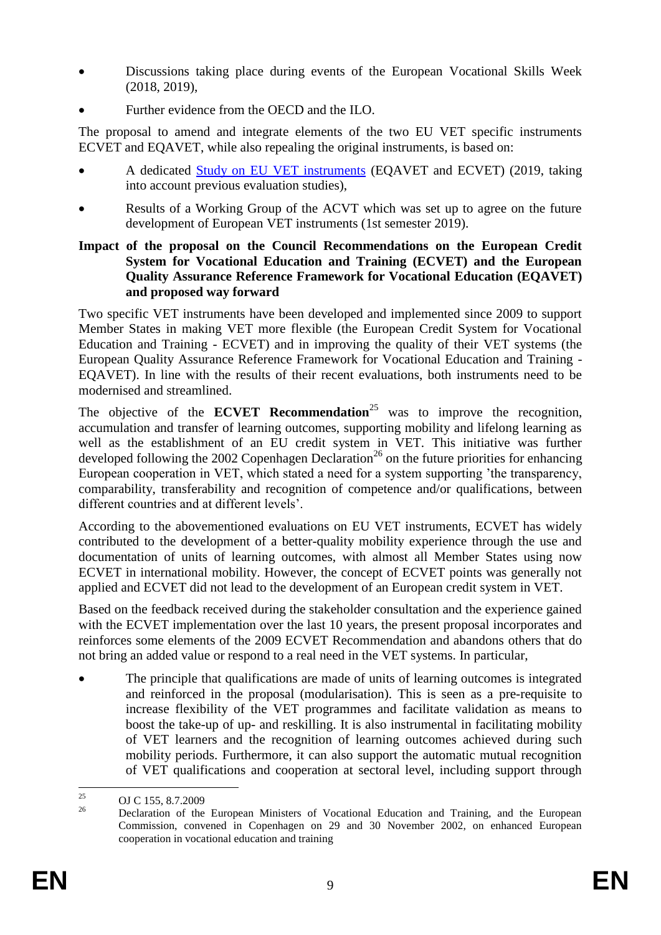- Discussions taking place during events of the European Vocational Skills Week (2018, 2019),
- Further evidence from the OECD and the ILO.

The proposal to amend and integrate elements of the two EU VET specific instruments ECVET and EQAVET, while also repealing the original instruments, is based on:

- A dedicated [Study on EU VET instruments](https://op.europa.eu/en/publication-detail/-/publication/205aa0ac-460d-11e9-a8ed-01aa75ed71a1/language-en) (EQAVET and ECVET) (2019, taking into account previous evaluation studies),
- Results of a Working Group of the ACVT which was set up to agree on the future development of European VET instruments (1st semester 2019).

#### **Impact of the proposal on the Council Recommendations on the European Credit System for Vocational Education and Training (ECVET) and the European Quality Assurance Reference Framework for Vocational Education (EQAVET) and proposed way forward**

Two specific VET instruments have been developed and implemented since 2009 to support Member States in making VET more flexible (the European Credit System for Vocational Education and Training - ECVET) and in improving the quality of their VET systems (the European Quality Assurance Reference Framework for Vocational Education and Training - EQAVET). In line with the results of their recent evaluations, both instruments need to be modernised and streamlined.

The objective of the **ECVET Recommendation**<sup>25</sup> was to improve the recognition, accumulation and transfer of learning outcomes, supporting mobility and lifelong learning as well as the establishment of an EU credit system in VET. This initiative was further developed following the 2002 Copenhagen Declaration<sup>26</sup> on the future priorities for enhancing European cooperation in VET, which stated a need for a system supporting 'the transparency, comparability, transferability and recognition of competence and/or qualifications, between different countries and at different levels'.

According to the abovementioned evaluations on EU VET instruments, ECVET has widely contributed to the development of a better-quality mobility experience through the use and documentation of units of learning outcomes, with almost all Member States using now ECVET in international mobility. However, the concept of ECVET points was generally not applied and ECVET did not lead to the development of an European credit system in VET.

Based on the feedback received during the stakeholder consultation and the experience gained with the ECVET implementation over the last 10 years, the present proposal incorporates and reinforces some elements of the 2009 ECVET Recommendation and abandons others that do not bring an added value or respond to a real need in the VET systems. In particular,

 The principle that qualifications are made of units of learning outcomes is integrated and reinforced in the proposal (modularisation). This is seen as a pre-requisite to increase flexibility of the VET programmes and facilitate validation as means to boost the take-up of up- and reskilling. It is also instrumental in facilitating mobility of VET learners and the recognition of learning outcomes achieved during such mobility periods. Furthermore, it can also support the automatic mutual recognition of VET qualifications and cooperation at sectoral level, including support through

 $25$  $\frac{25}{26}$  OJ C 155, 8.7.2009

<sup>26</sup> Declaration of the European Ministers of Vocational Education and Training, and the European Commission, convened in Copenhagen on 29 and 30 November 2002, on enhanced European cooperation in vocational education and training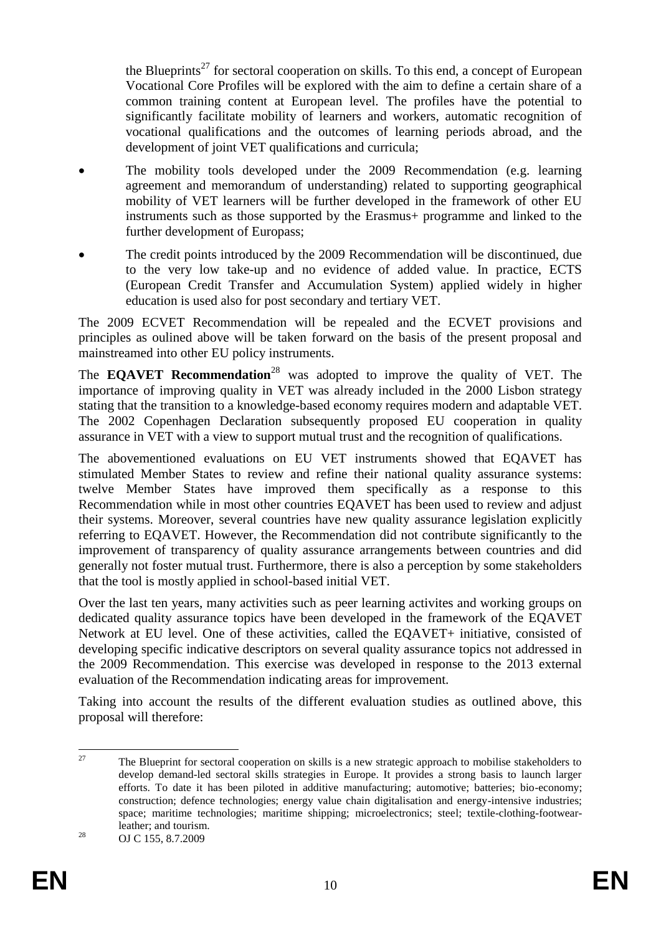the Blueprints<sup>27</sup> for sectoral cooperation on skills. To this end, a concept of European Vocational Core Profiles will be explored with the aim to define a certain share of a common training content at European level. The profiles have the potential to significantly facilitate mobility of learners and workers, automatic recognition of vocational qualifications and the outcomes of learning periods abroad, and the development of joint VET qualifications and curricula;

- The mobility tools developed under the 2009 Recommendation (e.g. learning agreement and memorandum of understanding) related to supporting geographical mobility of VET learners will be further developed in the framework of other EU instruments such as those supported by the Erasmus+ programme and linked to the further development of Europass;
- The credit points introduced by the 2009 Recommendation will be discontinued, due to the very low take-up and no evidence of added value. In practice, ECTS (European Credit Transfer and Accumulation System) applied widely in higher education is used also for post secondary and tertiary VET.

The 2009 ECVET Recommendation will be repealed and the ECVET provisions and principles as oulined above will be taken forward on the basis of the present proposal and mainstreamed into other EU policy instruments.

The **EQAVET Recommendation**<sup>28</sup> was adopted to improve the quality of VET. The importance of improving quality in VET was already included in the 2000 Lisbon strategy stating that the transition to a knowledge-based economy requires modern and adaptable VET. The 2002 Copenhagen Declaration subsequently proposed EU cooperation in quality assurance in VET with a view to support mutual trust and the recognition of qualifications.

The abovementioned evaluations on EU VET instruments showed that EQAVET has stimulated Member States to review and refine their national quality assurance systems: twelve Member States have improved them specifically as a response to this Recommendation while in most other countries EQAVET has been used to review and adjust their systems. Moreover, several countries have new quality assurance legislation explicitly referring to EQAVET. However, the Recommendation did not contribute significantly to the improvement of transparency of quality assurance arrangements between countries and did generally not foster mutual trust. Furthermore, there is also a perception by some stakeholders that the tool is mostly applied in school-based initial VET.

Over the last ten years, many activities such as peer learning activites and working groups on dedicated quality assurance topics have been developed in the framework of the EQAVET Network at EU level. One of these activities, called the EQAVET+ initiative, consisted of developing specific indicative descriptors on several quality assurance topics not addressed in the 2009 Recommendation. This exercise was developed in response to the 2013 external evaluation of the Recommendation indicating areas for improvement.

Taking into account the results of the different evaluation studies as outlined above, this proposal will therefore:

<sup>27</sup> The Blueprint for sectoral cooperation on skills is a new strategic approach to mobilise stakeholders to develop demand-led sectoral skills strategies in Europe. It provides a strong basis to launch larger efforts. To date it has been piloted in additive manufacturing; automotive; batteries; bio-economy; construction; defence technologies; energy value chain digitalisation and energy-intensive industries; space; maritime technologies; maritime shipping; microelectronics; steel; textile-clothing-footwearleather; and tourism.

<sup>&</sup>lt;sup>28</sup> OJ C 155, 8.7.2009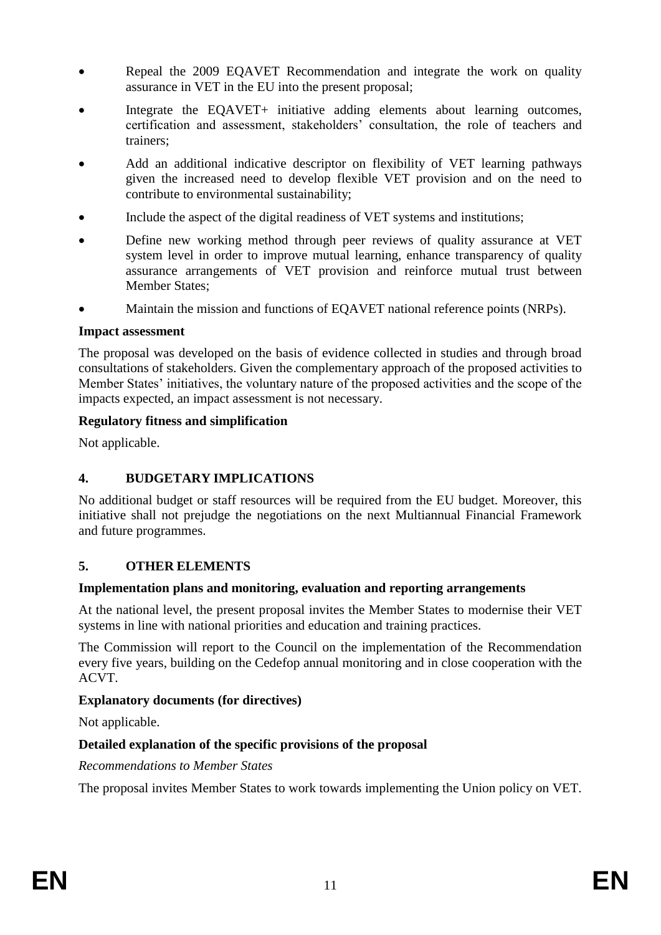- Repeal the 2009 EQAVET Recommendation and integrate the work on quality assurance in VET in the EU into the present proposal;
- Integrate the EQAVET+ initiative adding elements about learning outcomes, certification and assessment, stakeholders' consultation, the role of teachers and trainers;
- Add an additional indicative descriptor on flexibility of VET learning pathways given the increased need to develop flexible VET provision and on the need to contribute to environmental sustainability;
- Include the aspect of the digital readiness of VET systems and institutions;
- Define new working method through peer reviews of quality assurance at VET system level in order to improve mutual learning, enhance transparency of quality assurance arrangements of VET provision and reinforce mutual trust between Member States;
- Maintain the mission and functions of EQAVET national reference points (NRPs).

#### **Impact assessment**

The proposal was developed on the basis of evidence collected in studies and through broad consultations of stakeholders. Given the complementary approach of the proposed activities to Member States' initiatives, the voluntary nature of the proposed activities and the scope of the impacts expected, an impact assessment is not necessary.

#### **Regulatory fitness and simplification**

Not applicable.

# **4. BUDGETARY IMPLICATIONS**

No additional budget or staff resources will be required from the EU budget. Moreover, this initiative shall not prejudge the negotiations on the next Multiannual Financial Framework and future programmes.

# **5. OTHER ELEMENTS**

#### **Implementation plans and monitoring, evaluation and reporting arrangements**

At the national level, the present proposal invites the Member States to modernise their VET systems in line with national priorities and education and training practices.

The Commission will report to the Council on the implementation of the Recommendation every five years, building on the Cedefop annual monitoring and in close cooperation with the ACVT.

# **Explanatory documents (for directives)**

Not applicable.

# **Detailed explanation of the specific provisions of the proposal**

*Recommendations to Member States* 

The proposal invites Member States to work towards implementing the Union policy on VET.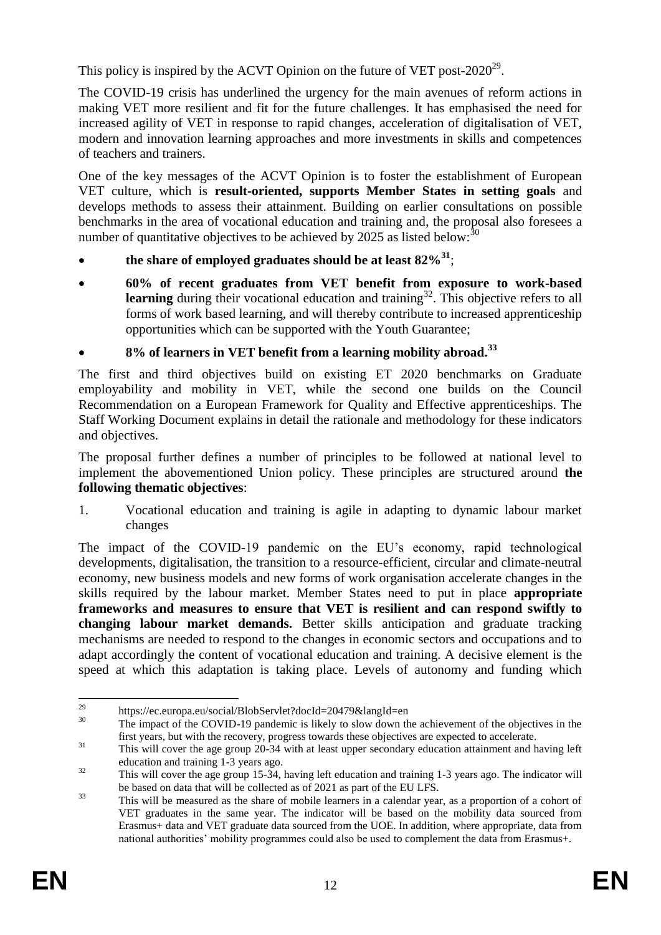This policy is inspired by the ACVT Opinion on the future of VET post- $2020^{29}$ .

The COVID-19 crisis has underlined the urgency for the main avenues of reform actions in making VET more resilient and fit for the future challenges. It has emphasised the need for increased agility of VET in response to rapid changes, acceleration of digitalisation of VET, modern and innovation learning approaches and more investments in skills and competences of teachers and trainers.

One of the key messages of the ACVT Opinion is to foster the establishment of European VET culture, which is **result-oriented, supports Member States in setting goals** and develops methods to assess their attainment. Building on earlier consultations on possible benchmarks in the area of vocational education and training and, the proposal also foresees a number of quantitative objectives to be achieved by 2025 as listed below:  $30$ 

- **the share of employed graduates should be at least 82%<sup>31</sup>** ;
- **60% of recent graduates from VET benefit from exposure to work-based**  learning during their vocational education and training<sup>32</sup>. This objective refers to all forms of work based learning, and will thereby contribute to increased apprenticeship opportunities which can be supported with the Youth Guarantee;

# **8% of learners in VET benefit from a learning mobility abroad.<sup>33</sup>**

The first and third objectives build on existing ET 2020 benchmarks on Graduate employability and mobility in VET, while the second one builds on the Council Recommendation on a European Framework for Quality and Effective apprenticeships. The Staff Working Document explains in detail the rationale and methodology for these indicators and objectives.

The proposal further defines a number of principles to be followed at national level to implement the abovementioned Union policy. These principles are structured around **the following thematic objectives**:

1. Vocational education and training is agile in adapting to dynamic labour market changes

The impact of the COVID-19 pandemic on the EU's economy, rapid technological developments, digitalisation, the transition to a resource-efficient, circular and climate-neutral economy, new business models and new forms of work organisation accelerate changes in the skills required by the labour market. Member States need to put in place **appropriate frameworks and measures to ensure that VET is resilient and can respond swiftly to changing labour market demands.** Better skills anticipation and graduate tracking mechanisms are needed to respond to the changes in economic sectors and occupations and to adapt accordingly the content of vocational education and training. A decisive element is the speed at which this adaptation is taking place. Levels of autonomy and funding which

<sup>29</sup> <sup>29</sup> https://ec.europa.eu/social/BlobServlet?docId=20479&langId=en<br><sup>30</sup>

The impact of the COVID-19 pandemic is likely to slow down the achievement of the objectives in the first years, but with the recovery, progress towards these objectives are expected to accelerate.

<sup>&</sup>lt;sup>31</sup> This will cover the age group 20-34 with at least upper secondary education attainment and having left education and training 1-3 years ago.

<sup>&</sup>lt;sup>32</sup> This will cover the age group 15-34, having left education and training 1-3 years ago. The indicator will be based on data that will be collected as of 2021 as part of the EU LFS.

<sup>&</sup>lt;sup>33</sup> This will be measured as the share of mobile learners in a calendar year, as a proportion of a cohort of VET graduates in the same year. The indicator will be based on the mobility data sourced from Erasmus+ data and VET graduate data sourced from the UOE. In addition, where appropriate, data from national authorities' mobility programmes could also be used to complement the data from Erasmus+.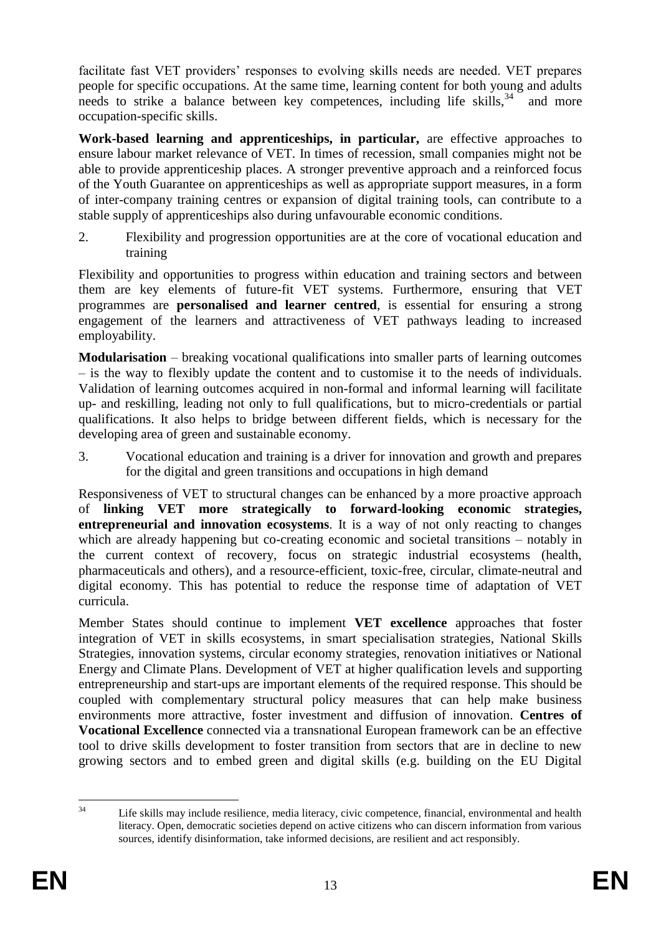facilitate fast VET providers' responses to evolving skills needs are needed. VET prepares people for specific occupations. At the same time, learning content for both young and adults  $\frac{1}{2}$  needs to strike a balance between key competences, including life skills,  $34$  and more occupation-specific skills.

**Work-based learning and apprenticeships, in particular,** are effective approaches to ensure labour market relevance of VET. In times of recession, small companies might not be able to provide apprenticeship places. A stronger preventive approach and a reinforced focus of the Youth Guarantee on apprenticeships as well as appropriate support measures, in a form of inter-company training centres or expansion of digital training tools, can contribute to a stable supply of apprenticeships also during unfavourable economic conditions.

2. Flexibility and progression opportunities are at the core of vocational education and training

Flexibility and opportunities to progress within education and training sectors and between them are key elements of future-fit VET systems. Furthermore, ensuring that VET programmes are **personalised and learner centred**, is essential for ensuring a strong engagement of the learners and attractiveness of VET pathways leading to increased employability.

**Modularisation** – breaking vocational qualifications into smaller parts of learning outcomes – is the way to flexibly update the content and to customise it to the needs of individuals. Validation of learning outcomes acquired in non-formal and informal learning will facilitate up- and reskilling, leading not only to full qualifications, but to micro-credentials or partial qualifications. It also helps to bridge between different fields, which is necessary for the developing area of green and sustainable economy.

3. Vocational education and training is a driver for innovation and growth and prepares for the digital and green transitions and occupations in high demand

Responsiveness of VET to structural changes can be enhanced by a more proactive approach of **linking VET more strategically to forward-looking economic strategies, entrepreneurial and innovation ecosystems**. It is a way of not only reacting to changes which are already happening but co-creating economic and societal transitions – notably in the current context of recovery, focus on strategic industrial ecosystems (health, pharmaceuticals and others), and a resource-efficient, toxic-free, circular, climate-neutral and digital economy. This has potential to reduce the response time of adaptation of VET curricula.

Member States should continue to implement **VET excellence** approaches that foster integration of VET in skills ecosystems, in smart specialisation strategies, National Skills Strategies, innovation systems, circular economy strategies, renovation initiatives or National Energy and Climate Plans. Development of VET at higher qualification levels and supporting entrepreneurship and start-ups are important elements of the required response. This should be coupled with complementary structural policy measures that can help make business environments more attractive, foster investment and diffusion of innovation. **Centres of Vocational Excellence** connected via a transnational European framework can be an effective tool to drive skills development to foster transition from sectors that are in decline to new growing sectors and to embed green and digital skills (e.g. building on the EU Digital

 $34$ 

Life skills may include resilience, media literacy, civic competence, financial, environmental and health literacy. Open, democratic societies depend on active citizens who can discern information from various sources, identify disinformation, take informed decisions, are resilient and act responsibly.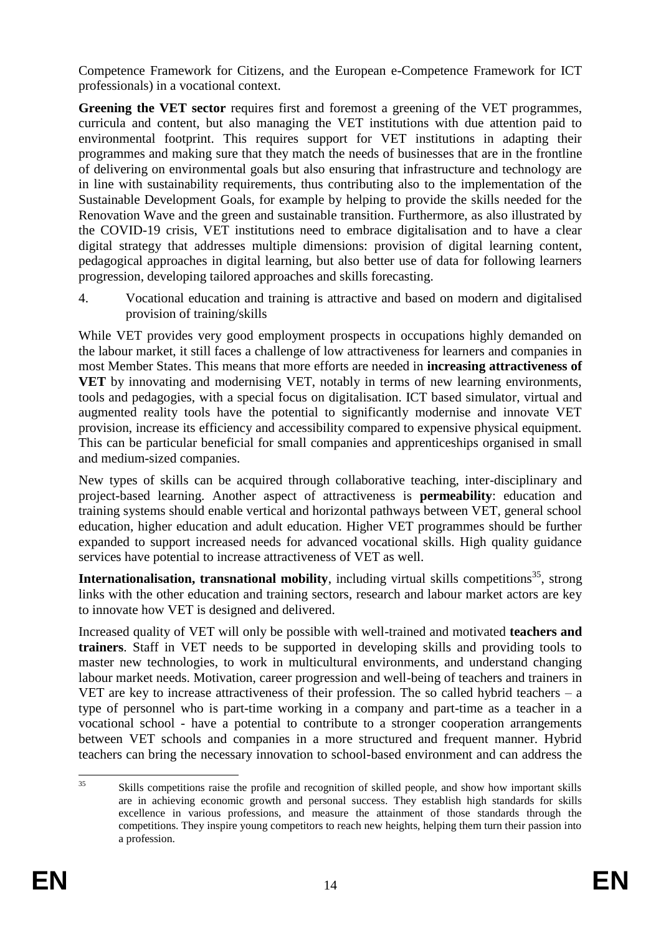Competence Framework for Citizens, and the European e-Competence Framework for ICT professionals) in a vocational context.

**Greening the VET sector** requires first and foremost a greening of the VET programmes, curricula and content, but also managing the VET institutions with due attention paid to environmental footprint. This requires support for VET institutions in adapting their programmes and making sure that they match the needs of businesses that are in the frontline of delivering on environmental goals but also ensuring that infrastructure and technology are in line with sustainability requirements, thus contributing also to the implementation of the Sustainable Development Goals, for example by helping to provide the skills needed for the Renovation Wave and the green and sustainable transition. Furthermore, as also illustrated by the COVID-19 crisis, VET institutions need to embrace digitalisation and to have a clear digital strategy that addresses multiple dimensions: provision of digital learning content, pedagogical approaches in digital learning, but also better use of data for following learners progression, developing tailored approaches and skills forecasting.

4. Vocational education and training is attractive and based on modern and digitalised provision of training/skills

While VET provides very good employment prospects in occupations highly demanded on the labour market, it still faces a challenge of low attractiveness for learners and companies in most Member States. This means that more efforts are needed in **increasing attractiveness of VET** by innovating and modernising VET, notably in terms of new learning environments, tools and pedagogies, with a special focus on digitalisation. ICT based simulator, virtual and augmented reality tools have the potential to significantly modernise and innovate VET provision, increase its efficiency and accessibility compared to expensive physical equipment. This can be particular beneficial for small companies and apprenticeships organised in small and medium-sized companies.

New types of skills can be acquired through collaborative teaching, inter-disciplinary and project-based learning. Another aspect of attractiveness is **permeability**: education and training systems should enable vertical and horizontal pathways between VET, general school education, higher education and adult education. Higher VET programmes should be further expanded to support increased needs for advanced vocational skills. High quality guidance services have potential to increase attractiveness of VET as well.

**Internationalisation, transnational mobility**, including virtual skills competitions<sup>35</sup>, strong links with the other education and training sectors, research and labour market actors are key to innovate how VET is designed and delivered.

Increased quality of VET will only be possible with well-trained and motivated **teachers and trainers**. Staff in VET needs to be supported in developing skills and providing tools to master new technologies, to work in multicultural environments, and understand changing labour market needs. Motivation, career progression and well-being of teachers and trainers in VET are key to increase attractiveness of their profession. The so called hybrid teachers  $-$  a type of personnel who is part-time working in a company and part-time as a teacher in a vocational school - have a potential to contribute to a stronger cooperation arrangements between VET schools and companies in a more structured and frequent manner. Hybrid teachers can bring the necessary innovation to school-based environment and can address the

 $35$ <sup>35</sup> Skills competitions raise the profile and recognition of skilled people, and show how important skills are in achieving economic growth and personal success. They establish high standards for skills excellence in various professions, and measure the attainment of those standards through the competitions. They inspire young competitors to reach new heights, helping them turn their passion into a profession.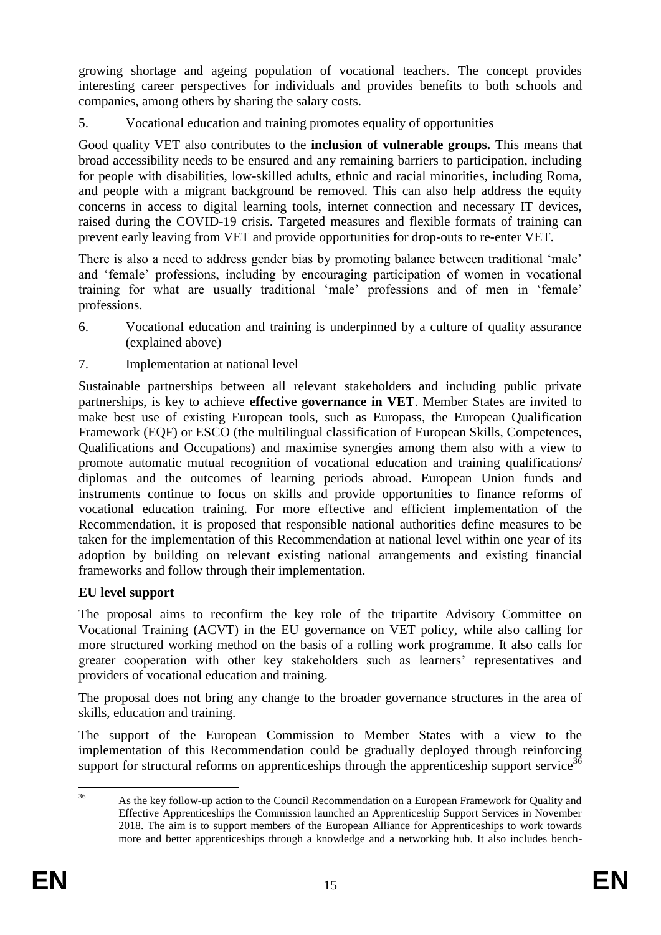growing shortage and ageing population of vocational teachers. The concept provides interesting career perspectives for individuals and provides benefits to both schools and companies, among others by sharing the salary costs.

5. Vocational education and training promotes equality of opportunities

Good quality VET also contributes to the **inclusion of vulnerable groups.** This means that broad accessibility needs to be ensured and any remaining barriers to participation, including for people with disabilities, low-skilled adults, ethnic and racial minorities, including Roma, and people with a migrant background be removed. This can also help address the equity concerns in access to digital learning tools, internet connection and necessary IT devices, raised during the COVID-19 crisis. Targeted measures and flexible formats of training can prevent early leaving from VET and provide opportunities for drop-outs to re-enter VET.

There is also a need to address gender bias by promoting balance between traditional 'male' and 'female' professions, including by encouraging participation of women in vocational training for what are usually traditional 'male' professions and of men in 'female' professions.

- 6. Vocational education and training is underpinned by a culture of quality assurance (explained above)
- 7. Implementation at national level

Sustainable partnerships between all relevant stakeholders and including public private partnerships, is key to achieve **effective governance in VET**. Member States are invited to make best use of existing European tools, such as Europass, the European Qualification Framework (EQF) or ESCO (the multilingual classification of European Skills, Competences, Qualifications and Occupations) and maximise synergies among them also with a view to promote automatic mutual recognition of vocational education and training qualifications/ diplomas and the outcomes of learning periods abroad. European Union funds and instruments continue to focus on skills and provide opportunities to finance reforms of vocational education training. For more effective and efficient implementation of the Recommendation, it is proposed that responsible national authorities define measures to be taken for the implementation of this Recommendation at national level within one year of its adoption by building on relevant existing national arrangements and existing financial frameworks and follow through their implementation.

# **EU level support**

The proposal aims to reconfirm the key role of the tripartite Advisory Committee on Vocational Training (ACVT) in the EU governance on VET policy, while also calling for more structured working method on the basis of a rolling work programme. It also calls for greater cooperation with other key stakeholders such as learners' representatives and providers of vocational education and training.

The proposal does not bring any change to the broader governance structures in the area of skills, education and training.

The support of the European Commission to Member States with a view to the implementation of this Recommendation could be gradually deployed through reinforcing support for structural reforms on apprenticeships through the apprenticeship support service<sup>36</sup>

 $36$ <sup>36</sup> As the key follow-up action to the Council Recommendation on a European Framework for Quality and Effective Apprenticeships the Commission launched an Apprenticeship Support Services in November 2018. The aim is to support members of the European Alliance for Apprenticeships to work towards more and better apprenticeships through a knowledge and a networking hub. It also includes bench-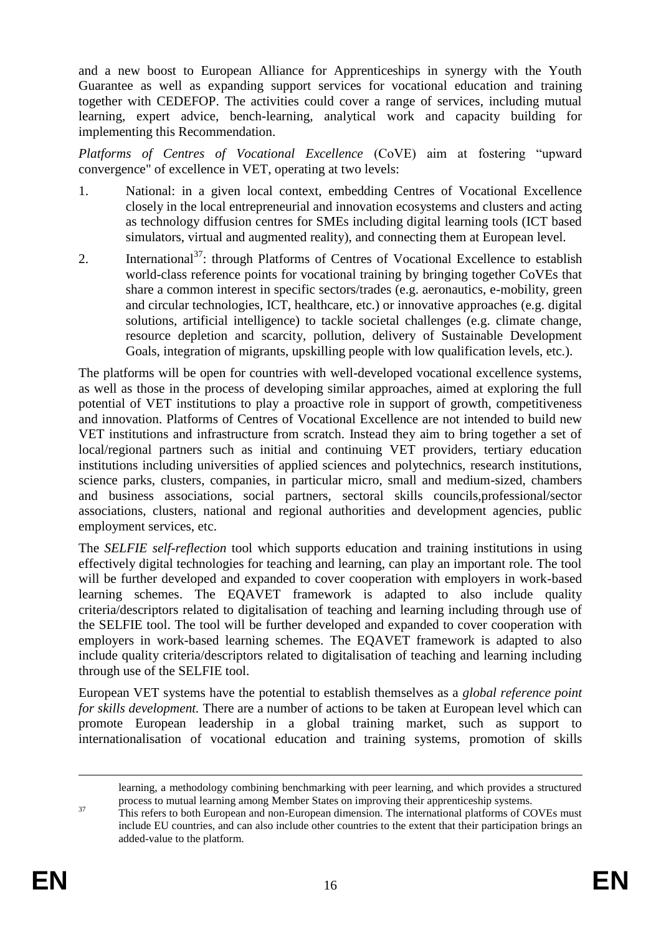and a new boost to European Alliance for Apprenticeships in synergy with the Youth Guarantee as well as expanding support services for vocational education and training together with CEDEFOP. The activities could cover a range of services, including mutual learning, expert advice, bench-learning, analytical work and capacity building for implementing this Recommendation.

*Platforms of Centres of Vocational Excellence* (CoVE) aim at fostering "upward convergence" of excellence in VET, operating at two levels:

- 1. National: in a given local context, embedding Centres of Vocational Excellence closely in the local entrepreneurial and innovation ecosystems and clusters and acting as technology diffusion centres for SMEs including digital learning tools (ICT based simulators, virtual and augmented reality), and connecting them at European level.
- 2. International<sup>37</sup>: through Platforms of Centres of Vocational Excellence to establish world-class reference points for vocational training by bringing together CoVEs that share a common interest in specific sectors/trades (e.g. aeronautics, e-mobility, green and circular technologies, ICT, healthcare, etc.) or innovative approaches (e.g. digital solutions, artificial intelligence) to tackle societal challenges (e.g. climate change, resource depletion and scarcity, pollution, delivery of Sustainable Development Goals, integration of migrants, upskilling people with low qualification levels, etc.).

The platforms will be open for countries with well-developed vocational excellence systems, as well as those in the process of developing similar approaches, aimed at exploring the full potential of VET institutions to play a proactive role in support of growth, competitiveness and innovation. Platforms of Centres of Vocational Excellence are not intended to build new VET institutions and infrastructure from scratch. Instead they aim to bring together a set of local/regional partners such as initial and continuing VET providers, tertiary education institutions including universities of applied sciences and polytechnics, research institutions, science parks, clusters, companies, in particular micro, small and medium-sized, chambers and business associations, social partners, sectoral skills councils,professional/sector associations, clusters, national and regional authorities and development agencies, public employment services, etc.

The *SELFIE self-reflection* tool which supports education and training institutions in using effectively digital technologies for teaching and learning, can play an important role. The tool will be further developed and expanded to cover cooperation with employers in work-based learning schemes. The EQAVET framework is adapted to also include quality criteria/descriptors related to digitalisation of teaching and learning including through use of the SELFIE tool. The tool will be further developed and expanded to cover cooperation with employers in work-based learning schemes. The EQAVET framework is adapted to also include quality criteria/descriptors related to digitalisation of teaching and learning including through use of the SELFIE tool.

European VET systems have the potential to establish themselves as a *global reference point for skills development.* There are a number of actions to be taken at European level which can promote European leadership in a global training market, such as support to internationalisation of vocational education and training systems, promotion of skills

<u>.</u>

learning, a methodology combining benchmarking with peer learning, and which provides a structured process to mutual learning among Member States on improving their apprenticeship systems.

<sup>&</sup>lt;sup>37</sup><br>This refers to both European and non-European dimension. The international platforms of COVEs must include EU countries, and can also include other countries to the extent that their participation brings an added-value to the platform.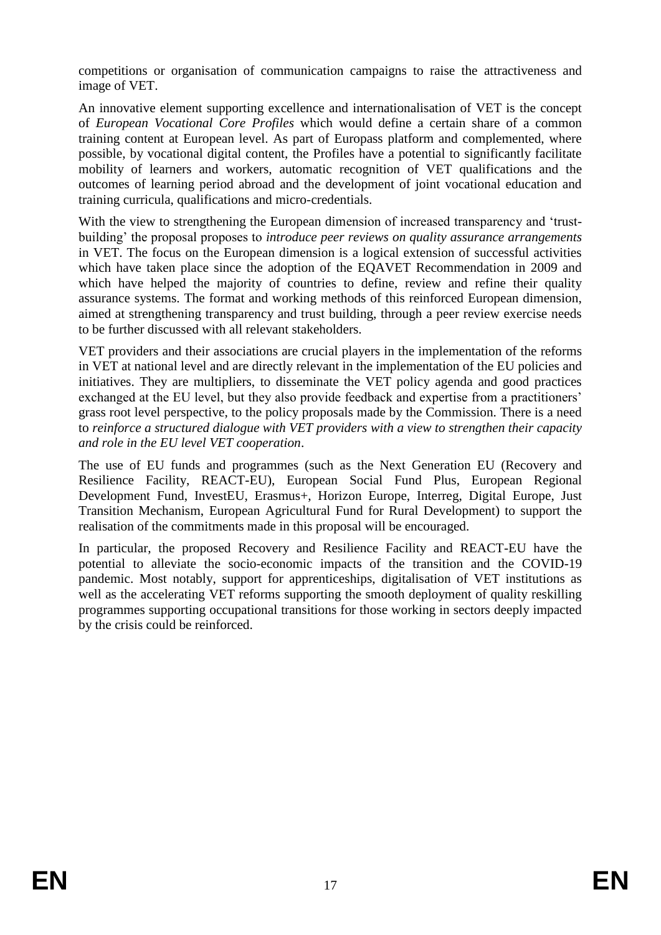competitions or organisation of communication campaigns to raise the attractiveness and image of VET.

An innovative element supporting excellence and internationalisation of VET is the concept of *European Vocational Core Profiles* which would define a certain share of a common training content at European level. As part of Europass platform and complemented, where possible, by vocational digital content, the Profiles have a potential to significantly facilitate mobility of learners and workers, automatic recognition of VET qualifications and the outcomes of learning period abroad and the development of joint vocational education and training curricula, qualifications and micro-credentials.

With the view to strengthening the European dimension of increased transparency and 'trustbuilding' the proposal proposes to *introduce peer reviews on quality assurance arrangements* in VET. The focus on the European dimension is a logical extension of successful activities which have taken place since the adoption of the EQAVET Recommendation in 2009 and which have helped the majority of countries to define, review and refine their quality assurance systems. The format and working methods of this reinforced European dimension, aimed at strengthening transparency and trust building, through a peer review exercise needs to be further discussed with all relevant stakeholders.

VET providers and their associations are crucial players in the implementation of the reforms in VET at national level and are directly relevant in the implementation of the EU policies and initiatives. They are multipliers, to disseminate the VET policy agenda and good practices exchanged at the EU level, but they also provide feedback and expertise from a practitioners' grass root level perspective, to the policy proposals made by the Commission. There is a need to *reinforce a structured dialogue with VET providers with a view to strengthen their capacity and role in the EU level VET cooperation*.

The use of EU funds and programmes (such as the Next Generation EU (Recovery and Resilience Facility, REACT-EU), European Social Fund Plus, European Regional Development Fund, InvestEU, Erasmus+, Horizon Europe, Interreg, Digital Europe, Just Transition Mechanism, European Agricultural Fund for Rural Development) to support the realisation of the commitments made in this proposal will be encouraged.

In particular, the proposed Recovery and Resilience Facility and REACT-EU have the potential to alleviate the socio-economic impacts of the transition and the COVID-19 pandemic. Most notably, support for apprenticeships, digitalisation of VET institutions as well as the accelerating VET reforms supporting the smooth deployment of quality reskilling programmes supporting occupational transitions for those working in sectors deeply impacted by the crisis could be reinforced.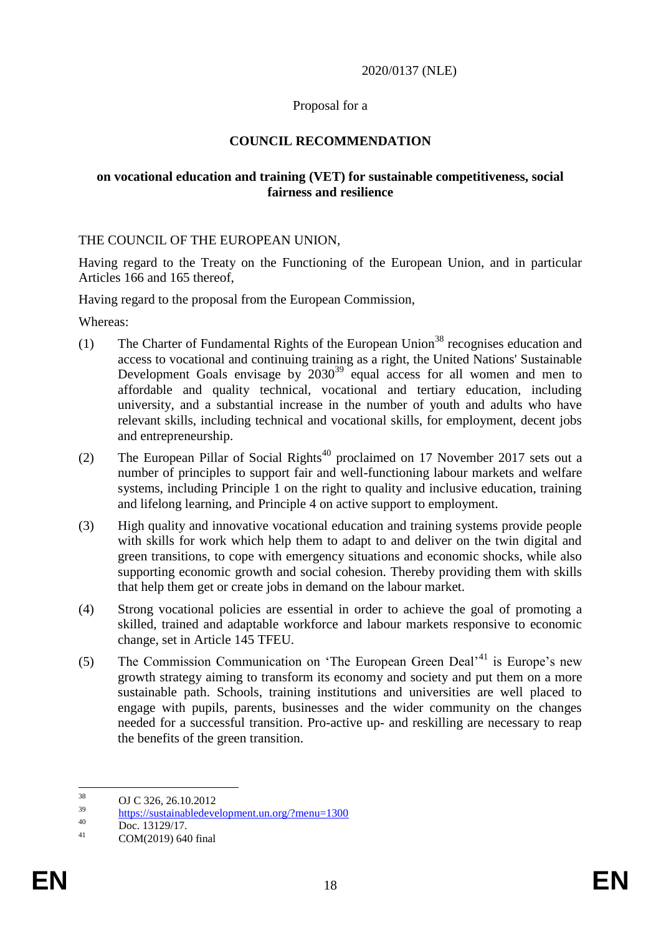#### 2020/0137 (NLE)

#### Proposal for a

#### **COUNCIL RECOMMENDATION**

#### **on vocational education and training (VET) for sustainable competitiveness, social fairness and resilience**

#### THE COUNCIL OF THE EUROPEAN UNION,

Having regard to the Treaty on the Functioning of the European Union, and in particular Articles 166 and 165 thereof,

Having regard to the proposal from the European Commission,

Whereas:

- (1) The Charter of Fundamental Rights of the European Union<sup>38</sup> recognises education and access to vocational and continuing training as a right, the United Nations' Sustainable Development Goals envisage by  $2030^{39}$  equal access for all women and men to affordable and quality technical, vocational and tertiary education, including university, and a substantial increase in the number of youth and adults who have relevant skills, including technical and vocational skills, for employment, decent jobs and entrepreneurship.
- (2) The European Pillar of Social Rights<sup>40</sup> proclaimed on 17 November 2017 sets out a number of principles to support fair and well-functioning labour markets and welfare systems, including Principle 1 on the right to quality and inclusive education, training and lifelong learning, and Principle 4 on active support to employment.
- (3) High quality and innovative vocational education and training systems provide people with skills for work which help them to adapt to and deliver on the twin digital and green transitions, to cope with emergency situations and economic shocks, while also supporting economic growth and social cohesion. Thereby providing them with skills that help them get or create jobs in demand on the labour market.
- (4) Strong vocational policies are essential in order to achieve the goal of promoting a skilled, trained and adaptable workforce and labour markets responsive to economic change, set in Article 145 TFEU.
- (5) The Commission Communication on 'The European Green Deal'<sup>41</sup> is Europe's new growth strategy aiming to transform its economy and society and put them on a more sustainable path. Schools, training institutions and universities are well placed to engage with pupils, parents, businesses and the wider community on the changes needed for a successful transition. Pro-active up- and reskilling are necessary to reap the benefits of the green transition.

 $38$  $\frac{38}{39}$  OJ C 326, 26.10.2012

 $\frac{39}{2}$  <https://sustainabledevelopment.un.org/?menu=1300>

 $\frac{40}{41}$  Doc. 13129/17.

COM(2019) 640 final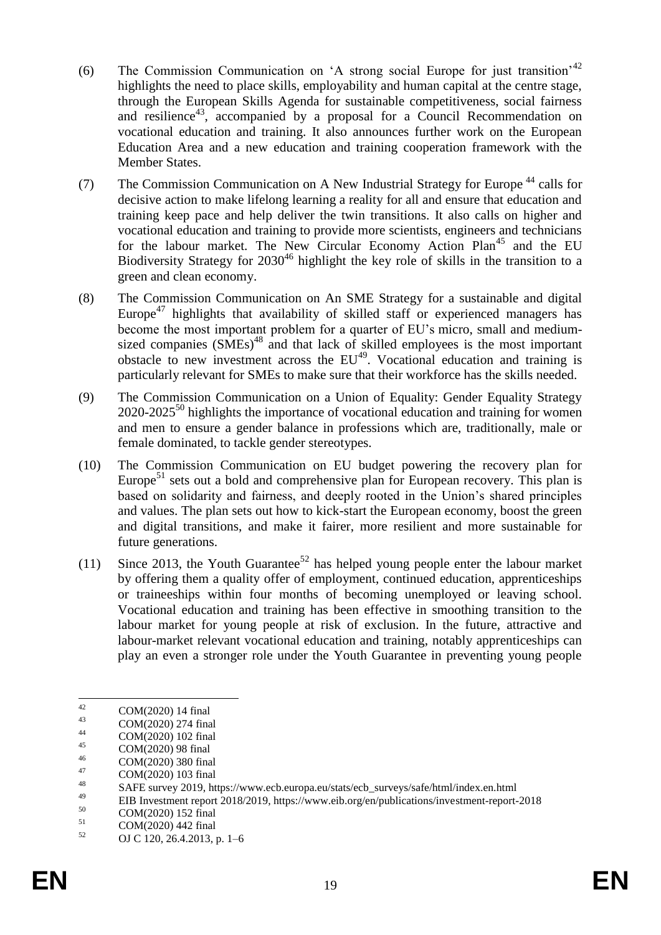- (6) The Commission Communication on 'A strong social Europe for just transition'<sup>42</sup> highlights the need to place skills, employability and human capital at the centre stage, through the European Skills Agenda for sustainable competitiveness, social fairness and resilience<sup>43</sup>, accompanied by a proposal for a Council Recommendation on vocational education and training. It also announces further work on the European Education Area and a new education and training cooperation framework with the Member States.
- (7) The Commission Communication on A New Industrial Strategy for Europe<sup>44</sup> calls for decisive action to make lifelong learning a reality for all and ensure that education and training keep pace and help deliver the twin transitions. It also calls on higher and vocational education and training to provide more scientists, engineers and technicians for the labour market. The New Circular Economy Action Plan<sup>45</sup> and the EU Biodiversity Strategy for  $2030^{46}$  highlight the key role of skills in the transition to a green and clean economy.
- (8) The Commission Communication on An SME Strategy for a sustainable and digital Europe<sup>47</sup> highlights that availability of skilled staff or experienced managers has become the most important problem for a quarter of EU's micro, small and mediumsized companies  $(SMEs)^{48}$  and that lack of skilled employees is the most important  $\frac{1}{2}$  obstacle to new investment across the  $EU^{49}$ . Vocational education and training is particularly relevant for SMEs to make sure that their workforce has the skills needed.
- (9) The Commission Communication on a Union of Equality: Gender Equality Strategy 2020-2025<sup>50</sup> highlights the importance of vocational education and training for women and men to ensure a gender balance in professions which are, traditionally, male or female dominated, to tackle gender stereotypes.
- (10) The Commission Communication on EU budget powering the recovery plan for Europe<sup>51</sup> sets out a bold and comprehensive plan for European recovery. This plan is based on solidarity and fairness, and deeply rooted in the Union's shared principles and values. The plan sets out how to kick-start the European economy, boost the green and digital transitions, and make it fairer, more resilient and more sustainable for future generations.
- (11) Since 2013, the Youth Guarantee<sup>52</sup> has helped young people enter the labour market by offering them a quality offer of employment, continued education, apprenticeships or traineeships within four months of becoming unemployed or leaving school. Vocational education and training has been effective in smoothing transition to the labour market for young people at risk of exclusion. In the future, attractive and labour-market relevant vocational education and training, notably apprenticeships can play an even a stronger role under the Youth Guarantee in preventing young people

<sup>42</sup>  $^{42}$  COM(2020) 14 final<br> $^{43}$  COM(2020) 274 5

 $^{43}$  COM(2020) 274 final

 $^{44}$  COM(2020) 102 final<br> $^{45}$  COM(2020) 08 final

 $^{45}$  COM(2020) 98 final

 $^{46}$  COM(2020) 380 final

 $^{47}$  COM(2020) 103 final

<sup>48</sup> SAFE survey 2019, https://www.ecb.europa.eu/stats/ecb\_surveys/safe/html/index.en.html<br>49 SAFE survey 2019, https://www.ecb.europa.eu/stats/ecb\_surveys/safe/html/index.en.html

<sup>&</sup>lt;sup>49</sup> EIB Investment report 2018/2019, https://www.eib.org/en/publications/investment-report-2018<br>
COM(2020) 152 final

 $\frac{50}{51}$  COM(2020) 152 final

 $\frac{51}{52}$  COM(2020) 442 final

OJ C 120, 26.4.2013, p. 1–6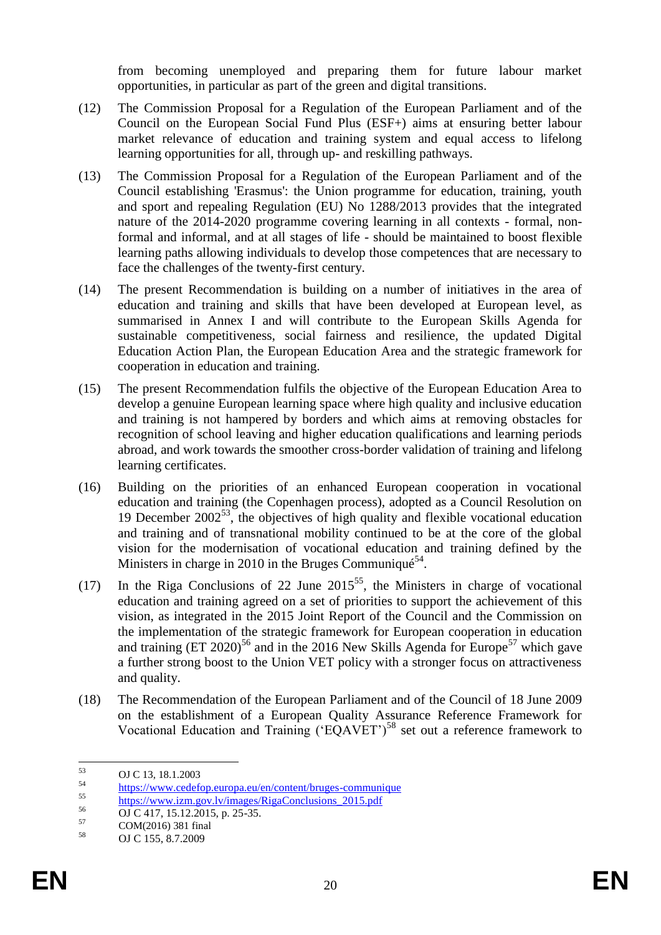from becoming unemployed and preparing them for future labour market opportunities, in particular as part of the green and digital transitions.

- (12) The Commission Proposal for a Regulation of the European Parliament and of the Council on the European Social Fund Plus (ESF+) aims at ensuring better labour market relevance of education and training system and equal access to lifelong learning opportunities for all, through up- and reskilling pathways.
- (13) The Commission Proposal for a Regulation of the European Parliament and of the Council establishing 'Erasmus': the Union programme for education, training, youth and sport and repealing Regulation (EU) No 1288/2013 provides that the integrated nature of the 2014-2020 programme covering learning in all contexts - formal, nonformal and informal, and at all stages of life - should be maintained to boost flexible learning paths allowing individuals to develop those competences that are necessary to face the challenges of the twenty-first century.
- (14) The present Recommendation is building on a number of initiatives in the area of education and training and skills that have been developed at European level, as summarised in Annex I and will contribute to the European Skills Agenda for sustainable competitiveness, social fairness and resilience, the updated Digital Education Action Plan, the European Education Area and the strategic framework for cooperation in education and training.
- (15) The present Recommendation fulfils the objective of the European Education Area to develop a genuine European learning space where high quality and inclusive education and training is not hampered by borders and which aims at removing obstacles for recognition of school leaving and higher education qualifications and learning periods abroad, and work towards the smoother cross-border validation of training and lifelong learning certificates.
- (16) Building on the priorities of an enhanced European cooperation in vocational education and training (the Copenhagen process), adopted as a Council Resolution on 19 December  $2002^{53}$ , the objectives of high quality and flexible vocational education and training and of transnational mobility continued to be at the core of the global vision for the modernisation of vocational education and training defined by the Ministers in charge in 2010 in the Bruges Communiqué<sup>54</sup>.
- (17) In the Riga Conclusions of 22 June  $2015^{55}$ , the Ministers in charge of vocational education and training agreed on a set of priorities to support the achievement of this vision, as integrated in the 2015 Joint Report of the Council and the Commission on the implementation of the strategic framework for European cooperation in education and training  $(ET 2020)^{56}$  and in the 2016 New Skills Agenda for Europe<sup>57</sup> which gave a further strong boost to the Union VET policy with a stronger focus on attractiveness and quality.
- (18) The Recommendation of the European Parliament and of the Council of 18 June 2009 on the establishment of a European Quality Assurance Reference Framework for Vocational Education and Training ('EQAVET')<sup>58</sup> set out a reference framework to

<sup>53</sup>  $\frac{53}{54}$  OJ C 13, 18.1.2003

<sup>54</sup> <https://www.cedefop.europa.eu/en/content/bruges-communique>

<sup>&</sup>lt;sup>55</sup> https://www.izm.gov.lv/images/RigaConclusions 2015.pdf<br> $\frac{56}{25}$  OLG 417, 15, 12, 2015.pdf

 $5^5$  OJ C 417, 15.12.2015, p. 25-35.

 $\frac{57}{58}$  COM(2016) 381 final

<sup>58</sup> OJ C 155, 8.7.2009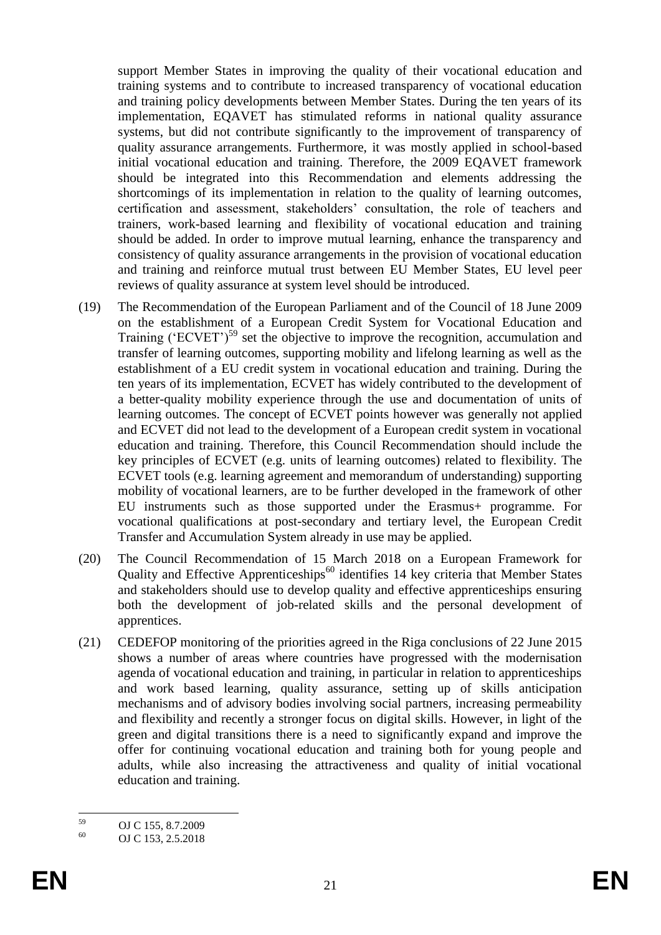support Member States in improving the quality of their vocational education and training systems and to contribute to increased transparency of vocational education and training policy developments between Member States. During the ten years of its implementation, EQAVET has stimulated reforms in national quality assurance systems, but did not contribute significantly to the improvement of transparency of quality assurance arrangements. Furthermore, it was mostly applied in school-based initial vocational education and training. Therefore, the 2009 EQAVET framework should be integrated into this Recommendation and elements addressing the shortcomings of its implementation in relation to the quality of learning outcomes, certification and assessment, stakeholders' consultation, the role of teachers and trainers, work-based learning and flexibility of vocational education and training should be added. In order to improve mutual learning, enhance the transparency and consistency of quality assurance arrangements in the provision of vocational education and training and reinforce mutual trust between EU Member States, EU level peer reviews of quality assurance at system level should be introduced.

- (19) The Recommendation of the European Parliament and of the Council of 18 June 2009 on the establishment of a European Credit System for Vocational Education and Training ('ECVET') $59$  set the objective to improve the recognition, accumulation and transfer of learning outcomes, supporting mobility and lifelong learning as well as the establishment of a EU credit system in vocational education and training. During the ten years of its implementation, ECVET has widely contributed to the development of a better-quality mobility experience through the use and documentation of units of learning outcomes. The concept of ECVET points however was generally not applied and ECVET did not lead to the development of a European credit system in vocational education and training. Therefore, this Council Recommendation should include the key principles of ECVET (e.g. units of learning outcomes) related to flexibility. The ECVET tools (e.g. learning agreement and memorandum of understanding) supporting mobility of vocational learners, are to be further developed in the framework of other EU instruments such as those supported under the Erasmus+ programme. For vocational qualifications at post-secondary and tertiary level, the European Credit Transfer and Accumulation System already in use may be applied.
- (20) The Council Recommendation of 15 March 2018 on a European Framework for Quality and Effective Apprenticeships $60$  identifies 14 key criteria that Member States and stakeholders should use to develop quality and effective apprenticeships ensuring both the development of job-related skills and the personal development of apprentices.
- (21) CEDEFOP monitoring of the priorities agreed in the Riga conclusions of 22 June 2015 shows a number of areas where countries have progressed with the modernisation agenda of vocational education and training, in particular in relation to apprenticeships and work based learning, quality assurance, setting up of skills anticipation mechanisms and of advisory bodies involving social partners, increasing permeability and flexibility and recently a stronger focus on digital skills. However, in light of the green and digital transitions there is a need to significantly expand and improve the offer for continuing vocational education and training both for young people and adults, while also increasing the attractiveness and quality of initial vocational education and training.

 $59$  $^{59}$  OJ C 155, 8.7.2009

<sup>60</sup> OJ C 153, 2.5.2018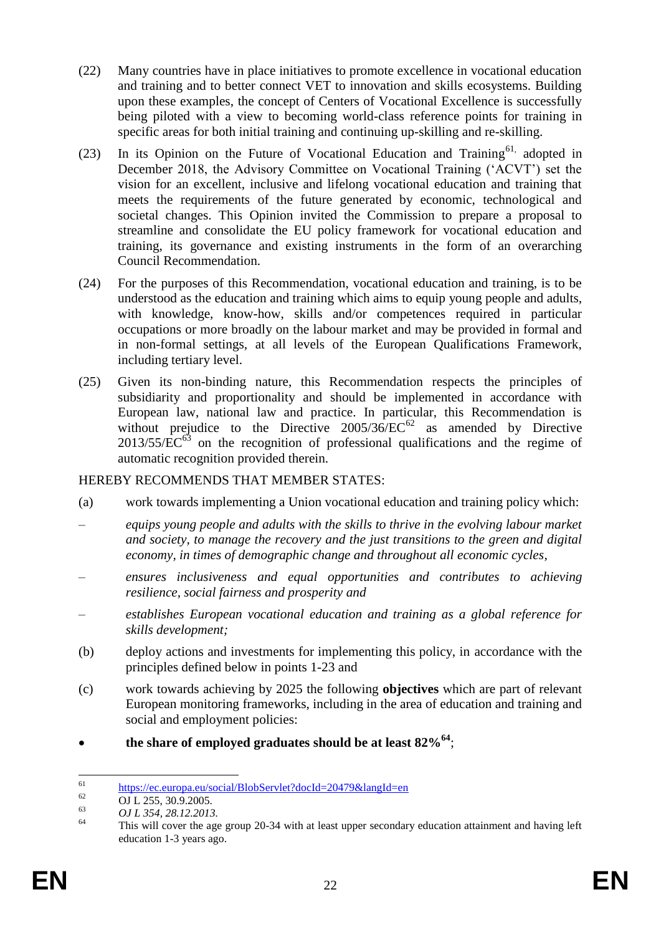- (22) Many countries have in place initiatives to promote excellence in vocational education and training and to better connect VET to innovation and skills ecosystems. Building upon these examples, the concept of Centers of Vocational Excellence is successfully being piloted with a view to becoming world-class reference points for training in specific areas for both initial training and continuing up-skilling and re-skilling.
- (23) In its Opinion on the Future of Vocational Education and Training<sup>61,</sup> adopted in December 2018, the Advisory Committee on Vocational Training ('ACVT') set the vision for an excellent, inclusive and lifelong vocational education and training that meets the requirements of the future generated by economic, technological and societal changes. This Opinion invited the Commission to prepare a proposal to streamline and consolidate the EU policy framework for vocational education and training, its governance and existing instruments in the form of an overarching Council Recommendation.
- (24) For the purposes of this Recommendation, vocational education and training, is to be understood as the education and training which aims to equip young people and adults, with knowledge, know-how, skills and/or competences required in particular occupations or more broadly on the labour market and may be provided in formal and in non-formal settings, at all levels of the European Qualifications Framework, including tertiary level.
- (25) Given its non-binding nature, this Recommendation respects the principles of subsidiarity and proportionality and should be implemented in accordance with European law, national law and practice. In particular, this Recommendation is without prejudice to the Directive  $2005/36/EC^{62}$  as amended by Directive  $2013/55/\overline{EC}^{63}$  on the recognition of professional qualifications and the regime of automatic recognition provided therein.

# HEREBY RECOMMENDS THAT MEMBER STATES:

- (a) work towards implementing a Union vocational education and training policy which:
- *equips young people and adults with the skills to thrive in the evolving labour market and society, to manage the recovery and the just transitions to the green and digital economy, in times of demographic change and throughout all economic cycles,*
- *ensures inclusiveness and equal opportunities and contributes to achieving resilience, social fairness and prosperity and*
- *establishes European vocational education and training as a global reference for skills development;*
- (b) deploy actions and investments for implementing this policy, in accordance with the principles defined below in points 1-23 and
- (c) work towards achieving by 2025 the following **objectives** which are part of relevant European monitoring frameworks, including in the area of education and training and social and employment policies:
- **the share of employed graduates should be at least 82%<sup>64</sup>** ;

 $61$ <sup>61</sup> <https://ec.europa.eu/social/BlobServlet?docId=20479&langId=en><br>62  $\overline{O}$ L 255 20.0.2005

 $\frac{62}{63}$  OJ L 255, 30.9.2005.

<sup>63</sup> *OJ L 354, 28.12.2013.*

This will cover the age group 20-34 with at least upper secondary education attainment and having left education 1-3 years ago.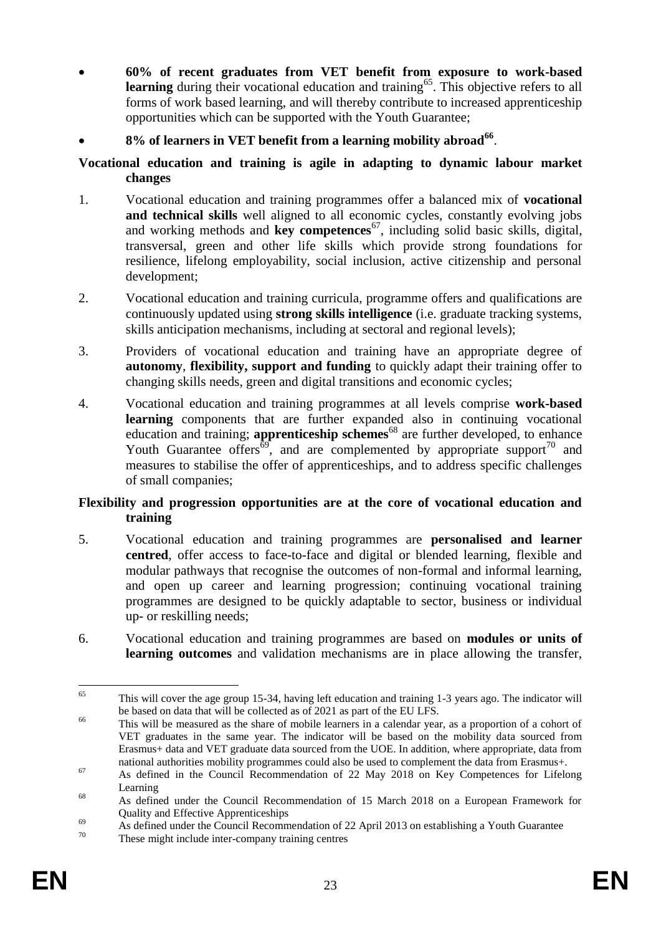**60% of recent graduates from VET benefit from exposure to work-based**  learning during their vocational education and training<sup>65</sup>. This objective refers to all forms of work based learning, and will thereby contribute to increased apprenticeship opportunities which can be supported with the Youth Guarantee;

# **8% of learners in VET benefit from a learning mobility abroad<sup>66</sup>** .

#### **Vocational education and training is agile in adapting to dynamic labour market changes**

- 1. Vocational education and training programmes offer a balanced mix of **vocational and technical skills** well aligned to all economic cycles, constantly evolving jobs and working methods and **key competences**<sup>67</sup>, including solid basic skills, digital, transversal, green and other life skills which provide strong foundations for resilience, lifelong employability, social inclusion, active citizenship and personal development;
- 2. Vocational education and training curricula, programme offers and qualifications are continuously updated using **strong skills intelligence** (i.e. graduate tracking systems, skills anticipation mechanisms, including at sectoral and regional levels);
- 3. Providers of vocational education and training have an appropriate degree of **autonomy**, **flexibility, support and funding** to quickly adapt their training offer to changing skills needs, green and digital transitions and economic cycles;
- 4. Vocational education and training programmes at all levels comprise **work-based learning** components that are further expanded also in continuing vocational education and training; **apprenticeship schemes**<sup>68</sup> are further developed, to enhance Youth Guarantee offers<sup> $69$ </sup>, and are complemented by appropriate support<sup>70</sup> and measures to stabilise the offer of apprenticeships, and to address specific challenges of small companies;

# **Flexibility and progression opportunities are at the core of vocational education and training**

- 5. Vocational education and training programmes are **personalised and learner centred**, offer access to face-to-face and digital or blended learning, flexible and modular pathways that recognise the outcomes of non-formal and informal learning, and open up career and learning progression; continuing vocational training programmes are designed to be quickly adaptable to sector, business or individual up- or reskilling needs;
- 6. Vocational education and training programmes are based on **modules or units of learning outcomes** and validation mechanisms are in place allowing the transfer,

<sup>65</sup> This will cover the age group 15-34, having left education and training 1-3 years ago. The indicator will be based on data that will be collected as of 2021 as part of the EU LFS.

<sup>&</sup>lt;sup>66</sup> This will be measured as the share of mobile learners in a calendar year, as a proportion of a cohort of VET graduates in the same year. The indicator will be based on the mobility data sourced from Erasmus+ data and VET graduate data sourced from the UOE. In addition, where appropriate, data from national authorities mobility programmes could also be used to complement the data from Erasmus+.

<sup>&</sup>lt;sup>67</sup> As defined in the Council Recommendation of 22 May 2018 on Key Competences for Lifelong Learning

<sup>68</sup> As defined under the Council Recommendation of 15 March 2018 on a European Framework for Quality and Effective Apprenticeships

 $\frac{69}{20}$  As defined under the Council Recommendation of 22 April 2013 on establishing a Youth Guarantee

These might include inter-company training centres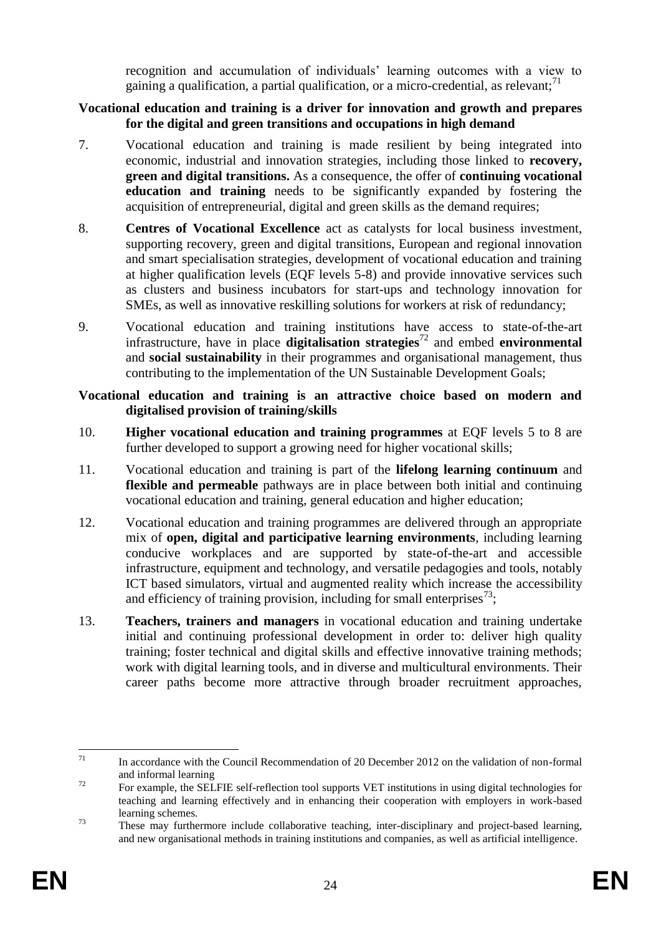recognition and accumulation of individuals' learning outcomes with a view to gaining a qualification, a partial qualification, or a micro-credential, as relevant;<sup>71</sup>

#### **Vocational education and training is a driver for innovation and growth and prepares for the digital and green transitions and occupations in high demand**

- 7. Vocational education and training is made resilient by being integrated into economic, industrial and innovation strategies, including those linked to **recovery, green and digital transitions.** As a consequence, the offer of **continuing vocational education and training** needs to be significantly expanded by fostering the acquisition of entrepreneurial, digital and green skills as the demand requires;
- 8. **Centres of Vocational Excellence** act as catalysts for local business investment, supporting recovery, green and digital transitions, European and regional innovation and smart specialisation strategies, development of vocational education and training at higher qualification levels (EQF levels 5-8) and provide innovative services such as clusters and business incubators for start-ups and technology innovation for SMEs, as well as innovative reskilling solutions for workers at risk of redundancy;
- 9. Vocational education and training institutions have access to state-of-the-art infrastructure, have in place **digitalisation strategies**<sup>72</sup> and embed **environmental** and **social sustainability** in their programmes and organisational management, thus contributing to the implementation of the UN Sustainable Development Goals;

#### **Vocational education and training is an attractive choice based on modern and digitalised provision of training/skills**

- 10. **Higher vocational education and training programmes** at EQF levels 5 to 8 are further developed to support a growing need for higher vocational skills;
- 11. Vocational education and training is part of the **lifelong learning continuum** and **flexible and permeable** pathways are in place between both initial and continuing vocational education and training, general education and higher education;
- 12. Vocational education and training programmes are delivered through an appropriate mix of **open, digital and participative learning environments**, including learning conducive workplaces and are supported by state-of-the-art and accessible infrastructure, equipment and technology, and versatile pedagogies and tools, notably ICT based simulators, virtual and augmented reality which increase the accessibility and efficiency of training provision, including for small enterprises $^{73}$ ;
- 13. **Teachers, trainers and managers** in vocational education and training undertake initial and continuing professional development in order to: deliver high quality training; foster technical and digital skills and effective innovative training methods; work with digital learning tools, and in diverse and multicultural environments. Their career paths become more attractive through broader recruitment approaches,

 $71$ <sup>71</sup> In accordance with the Council Recommendation of 20 December 2012 on the validation of non-formal and informal learning

<sup>&</sup>lt;sup>72</sup> For example, the SELFIE self-reflection tool supports VET institutions in using digital technologies for teaching and learning effectively and in enhancing their cooperation with employers in work-based learning schemes.

<sup>&</sup>lt;sup>73</sup> These may furthermore include collaborative teaching, inter-disciplinary and project-based learning, and new organisational methods in training institutions and companies, as well as artificial intelligence.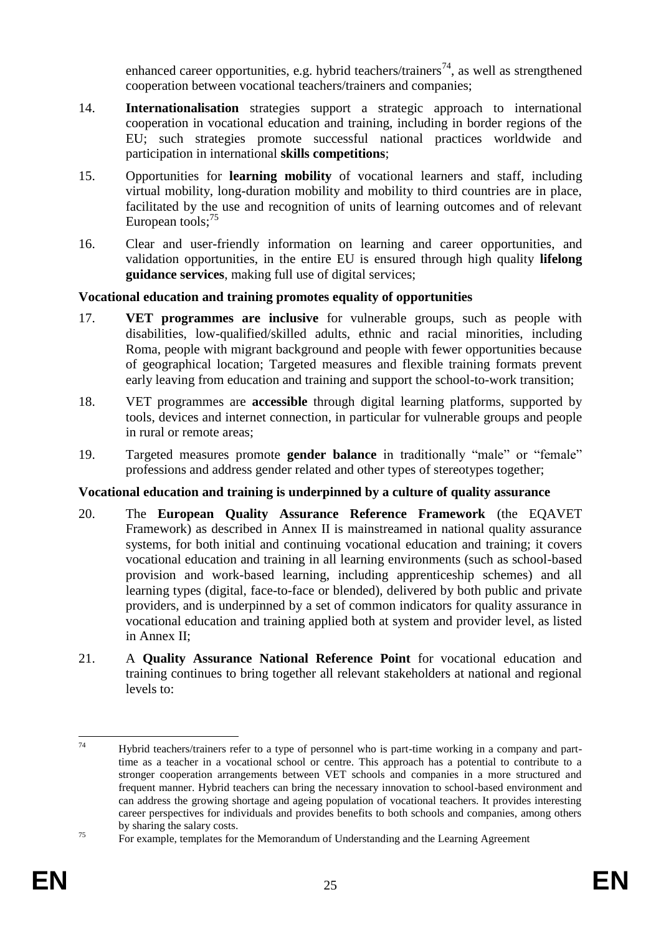enhanced career opportunities, e.g. hybrid teachers/trainers<sup>74</sup>, as well as strengthened cooperation between vocational teachers/trainers and companies;

- 14. **Internationalisation** strategies support a strategic approach to international cooperation in vocational education and training, including in border regions of the EU; such strategies promote successful national practices worldwide and participation in international **skills competitions**;
- 15. Opportunities for **learning mobility** of vocational learners and staff, including virtual mobility, long-duration mobility and mobility to third countries are in place, facilitated by the use and recognition of units of learning outcomes and of relevant European tools;<sup>75</sup>
- 16. Clear and user-friendly information on learning and career opportunities, and validation opportunities, in the entire EU is ensured through high quality **lifelong guidance services**, making full use of digital services;

# **Vocational education and training promotes equality of opportunities**

- 17. **VET programmes are inclusive** for vulnerable groups, such as people with disabilities, low-qualified/skilled adults, ethnic and racial minorities, including Roma, people with migrant background and people with fewer opportunities because of geographical location; Targeted measures and flexible training formats prevent early leaving from education and training and support the school-to-work transition;
- 18. VET programmes are **accessible** through digital learning platforms, supported by tools, devices and internet connection, in particular for vulnerable groups and people in rural or remote areas;
- 19. Targeted measures promote **gender balance** in traditionally "male" or "female" professions and address gender related and other types of stereotypes together;

# **Vocational education and training is underpinned by a culture of quality assurance**

- 20. The **European Quality Assurance Reference Framework** (the EQAVET Framework) as described in Annex II is mainstreamed in national quality assurance systems, for both initial and continuing vocational education and training; it covers vocational education and training in all learning environments (such as school-based provision and work-based learning, including apprenticeship schemes) and all learning types (digital, face-to-face or blended), delivered by both public and private providers, and is underpinned by a set of common indicators for quality assurance in vocational education and training applied both at system and provider level, as listed in Annex II;
- 21. A **Quality Assurance National Reference Point** for vocational education and training continues to bring together all relevant stakeholders at national and regional levels to:

<sup>74</sup> Hybrid teachers/trainers refer to a type of personnel who is part-time working in a company and parttime as a teacher in a vocational school or centre. This approach has a potential to contribute to a stronger cooperation arrangements between VET schools and companies in a more structured and frequent manner. Hybrid teachers can bring the necessary innovation to school-based environment and can address the growing shortage and ageing population of vocational teachers. It provides interesting career perspectives for individuals and provides benefits to both schools and companies, among others by sharing the salary costs.

<sup>&</sup>lt;sup>75</sup> For example, templates for the Memorandum of Understanding and the Learning Agreement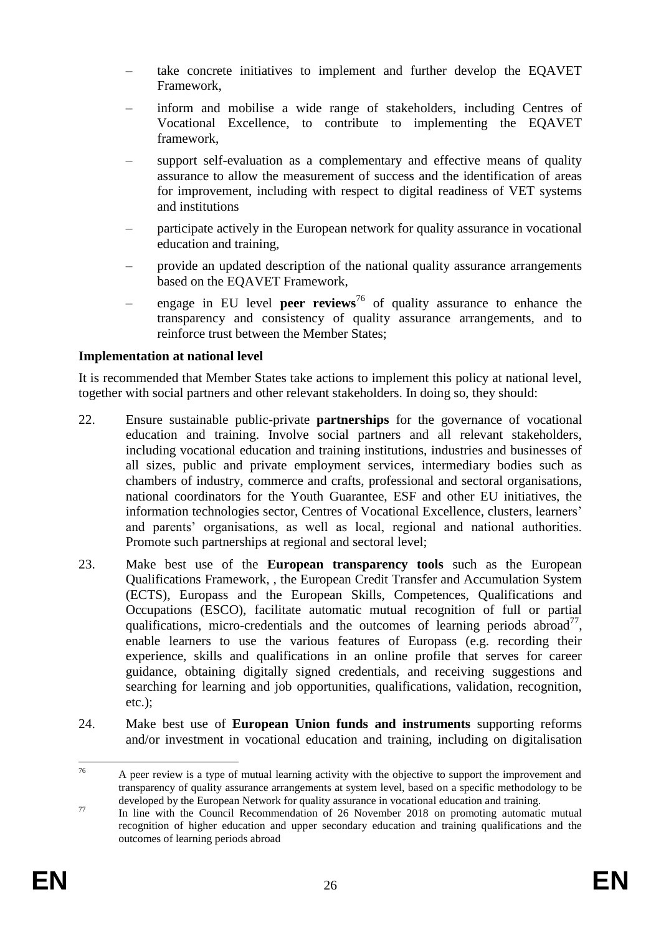- take concrete initiatives to implement and further develop the EQAVET Framework,
- inform and mobilise a wide range of stakeholders, including Centres of Vocational Excellence, to contribute to implementing the EQAVET framework,
- support self-evaluation as a complementary and effective means of quality assurance to allow the measurement of success and the identification of areas for improvement, including with respect to digital readiness of VET systems and institutions
- participate actively in the European network for quality assurance in vocational education and training,
- provide an updated description of the national quality assurance arrangements based on the EQAVET Framework,
- engage in EU level **peer reviews**<sup>76</sup> of quality assurance to enhance the transparency and consistency of quality assurance arrangements, and to reinforce trust between the Member States;

#### **Implementation at national level**

It is recommended that Member States take actions to implement this policy at national level, together with social partners and other relevant stakeholders. In doing so, they should:

- 22. Ensure sustainable public-private **partnerships** for the governance of vocational education and training. Involve social partners and all relevant stakeholders, including vocational education and training institutions, industries and businesses of all sizes, public and private employment services, intermediary bodies such as chambers of industry, commerce and crafts, professional and sectoral organisations, national coordinators for the Youth Guarantee, ESF and other EU initiatives, the information technologies sector, Centres of Vocational Excellence, clusters, learners' and parents' organisations, as well as local, regional and national authorities. Promote such partnerships at regional and sectoral level;
- 23. Make best use of the **European transparency tools** such as the European Qualifications Framework, , the European Credit Transfer and Accumulation System (ECTS), Europass and the European Skills, Competences, Qualifications and Occupations (ESCO), facilitate automatic mutual recognition of full or partial qualifications, micro-credentials and the outcomes of learning periods abroad<sup>77</sup>, enable learners to use the various features of Europass (e.g. recording their experience, skills and qualifications in an online profile that serves for career guidance, obtaining digitally signed credentials, and receiving suggestions and searching for learning and job opportunities, qualifications, validation, recognition, etc.);
- 24. Make best use of **European Union funds and instruments** supporting reforms and/or investment in vocational education and training, including on digitalisation

 $76\,$ A peer review is a type of mutual learning activity with the objective to support the improvement and transparency of quality assurance arrangements at system level, based on a specific methodology to be developed by the European Network for quality assurance in vocational education and training.

<sup>&</sup>lt;sup>77</sup> In line with the Council Recommendation of 26 November 2018 on promoting automatic mutual recognition of higher education and upper secondary education and training qualifications and the outcomes of learning periods abroad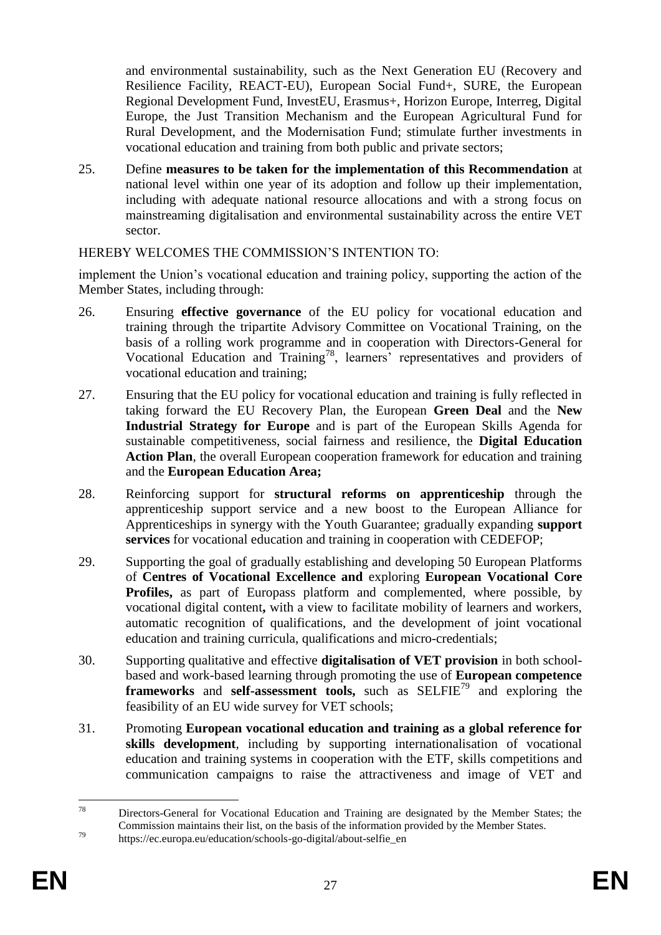and environmental sustainability, such as the Next Generation EU (Recovery and Resilience Facility, REACT-EU), European Social Fund+, SURE, the European Regional Development Fund, InvestEU, Erasmus+, Horizon Europe, Interreg, Digital Europe, the Just Transition Mechanism and the European Agricultural Fund for Rural Development, and the Modernisation Fund; stimulate further investments in vocational education and training from both public and private sectors;

25. Define **measures to be taken for the implementation of this Recommendation** at national level within one year of its adoption and follow up their implementation, including with adequate national resource allocations and with a strong focus on mainstreaming digitalisation and environmental sustainability across the entire VET sector.

HEREBY WELCOMES THE COMMISSION'S INTENTION TO:

implement the Union's vocational education and training policy, supporting the action of the Member States, including through:

- 26. Ensuring **effective governance** of the EU policy for vocational education and training through the tripartite Advisory Committee on Vocational Training, on the basis of a rolling work programme and in cooperation with Directors-General for Vocational Education and Training<sup>78</sup>, learners' representatives and providers of vocational education and training;
- 27. Ensuring that the EU policy for vocational education and training is fully reflected in taking forward the EU Recovery Plan, the European **Green Deal** and the **New Industrial Strategy for Europe** and is part of the European Skills Agenda for sustainable competitiveness, social fairness and resilience, the **Digital Education Action Plan**, the overall European cooperation framework for education and training and the **European Education Area;**
- 28. Reinforcing support for **structural reforms on apprenticeship** through the apprenticeship support service and a new boost to the European Alliance for Apprenticeships in synergy with the Youth Guarantee; gradually expanding **support services** for vocational education and training in cooperation with CEDEFOP;
- 29. Supporting the goal of gradually establishing and developing 50 European Platforms of **Centres of Vocational Excellence and** exploring **European Vocational Core Profiles,** as part of Europass platform and complemented, where possible, by vocational digital content**,** with a view to facilitate mobility of learners and workers, automatic recognition of qualifications, and the development of joint vocational education and training curricula, qualifications and micro-credentials;
- 30. Supporting qualitative and effective **digitalisation of VET provision** in both schoolbased and work-based learning through promoting the use of **European competence frameworks** and **self-assessment tools**, such as SELFIE<sup>79</sup> and exploring the feasibility of an EU wide survey for VET schools;
- 31. Promoting **European vocational education and training as a global reference for skills development**, including by supporting internationalisation of vocational education and training systems in cooperation with the ETF, skills competitions and communication campaigns to raise the attractiveness and image of VET and

 $78\,$ <sup>78</sup> Directors-General for Vocational Education and Training are designated by the Member States; the Commission maintains their list, on the basis of the information provided by the Member States.

<sup>&</sup>lt;sup>79</sup> https://ec.europa.eu/education/schools-go-digital/about-selfie\_en